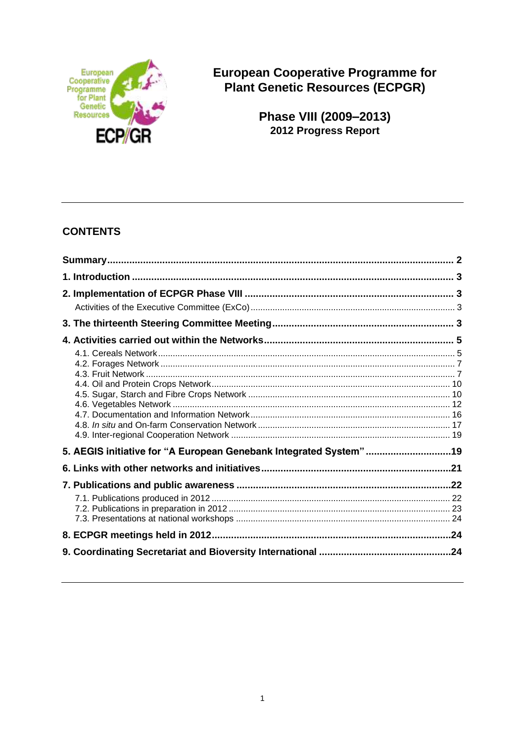

**European Cooperative Programme for Plant Genetic Resources (ECPGR)** 

Phase VIII (2009-2013)<br>2012 Progress Report

# **CONTENTS**

| 5. AEGIS initiative for "A European Genebank Integrated System"19 |  |
|-------------------------------------------------------------------|--|
|                                                                   |  |
|                                                                   |  |
|                                                                   |  |
|                                                                   |  |
|                                                                   |  |
|                                                                   |  |
|                                                                   |  |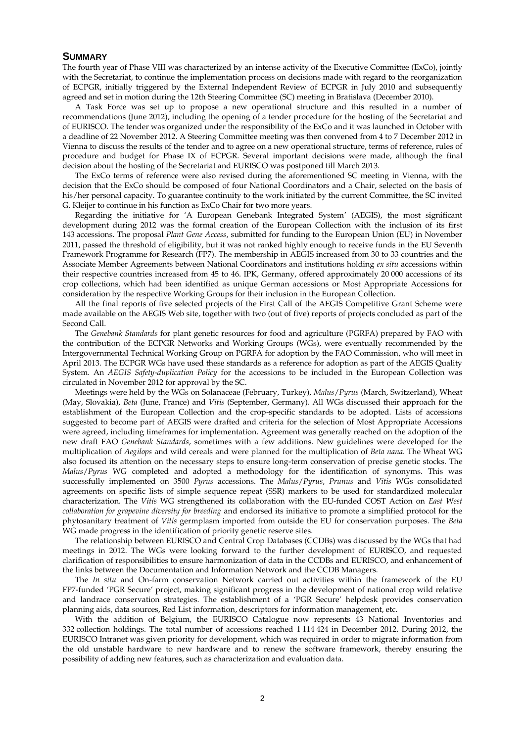#### **SUMMARY**

The fourth year of Phase VIII was characterized by an intense activity of the Executive Committee (ExCo), jointly with the Secretariat, to continue the implementation process on decisions made with regard to the reorganization of ECPGR, initially triggered by the External Independent Review of ECPGR in July 2010 and subsequently agreed and set in motion during the 12th Steering Committee (SC) meeting in Bratislava (December 2010).

A Task Force was set up to propose a new operational structure and this resulted in a number of recommendations (June 2012), including the opening of a tender procedure for the hosting of the Secretariat and of EURISCO. The tender was organized under the responsibility of the ExCo and it was launched in October with a deadline of 22 November 2012. A Steering Committee meeting was then convened from 4 to 7 December 2012 in Vienna to discuss the results of the tender and to agree on a new operational structure, terms of reference, rules of procedure and budget for Phase IX of ECPGR. Several important decisions were made, although the final decision about the hosting of the Secretariat and EURISCO was postponed till March 2013.

The ExCo terms of reference were also revised during the aforementioned SC meeting in Vienna, with the decision that the ExCo should be composed of four National Coordinators and a Chair, selected on the basis of his/her personal capacity. To guarantee continuity to the work initiated by the current Committee, the SC invited G. Kleijer to continue in his function as ExCo Chair for two more years.

Regarding the initiative for 'A European Genebank Integrated System' (AEGIS), the most significant development during 2012 was the formal creation of the European Collection with the inclusion of its first 143 accessions. The proposal *Plant Gene Access*, submitted for funding to the European Union (EU) in November 2011, passed the threshold of eligibility, but it was not ranked highly enough to receive funds in the EU Seventh Framework Programme for Research (FP7). The membership in AEGIS increased from 30 to 33 countries and the Associate Member Agreements between National Coordinators and institutions holding *ex situ* accessions within their respective countries increased from 45 to 46. IPK, Germany, offered approximately 20 000 accessions of its crop collections, which had been identified as unique German accessions or Most Appropriate Accessions for consideration by the respective Working Groups for their inclusion in the European Collection.

All the final reports of five selected projects of the First Call of the AEGIS Competitive Grant Scheme were made available on the AEGIS Web site, together with two (out of five) reports of projects concluded as part of the Second Call.

The *Genebank Standards* for plant genetic resources for food and agriculture (PGRFA) prepared by FAO with the contribution of the ECPGR Networks and Working Groups (WGs), were eventually recommended by the Intergovernmental Technical Working Group on PGRFA for adoption by the FAO Commission, who will meet in April 2013. The ECPGR WGs have used these standards as a reference for adoption as part of the AEGIS Quality System. An *AEGIS Safety-duplication Policy* for the accessions to be included in the European Collection was circulated in November 2012 for approval by the SC.

Meetings were held by the WGs on Solanaceae (February, Turkey), *Malus*/*Pyrus* (March, Switzerland), Wheat (May, Slovakia), *Beta* (June, France) and *Vitis* (September, Germany). All WGs discussed their approach for the establishment of the European Collection and the crop-specific standards to be adopted. Lists of accessions suggested to become part of AEGIS were drafted and criteria for the selection of Most Appropriate Accessions were agreed, including timeframes for implementation. Agreement was generally reached on the adoption of the new draft FAO *Genebank Standards*, sometimes with a few additions. New guidelines were developed for the multiplication of *Aegilops* and wild cereals and were planned for the multiplication of *Beta nana*. The Wheat WG also focused its attention on the necessary steps to ensure long-term conservation of precise genetic stocks. The *Malus*/*Pyrus* WG completed and adopted a methodology for the identification of synonyms. This was successfully implemented on 3500 *Pyrus* accessions. The *Malus*/*Pyrus*, *Prunus* and *Vitis* WGs consolidated agreements on specific lists of simple sequence repeat (SSR) markers to be used for standardized molecular characterization. The *Vitis* WG strengthened its collaboration with the EU-funded COST Action on *East West collaboration for grapevine diversity for breeding* and endorsed its initiative to promote a simplified protocol for the phytosanitary treatment of *Vitis* germplasm imported from outside the EU for conservation purposes. The *Beta*  WG made progress in the identification of priority genetic reserve sites.

The relationship between EURISCO and Central Crop Databases (CCDBs) was discussed by the WGs that had meetings in 2012. The WGs were looking forward to the further development of EURISCO, and requested clarification of responsibilities to ensure harmonization of data in the CCDBs and EURISCO, and enhancement of the links between the Documentation and Information Network and the CCDB Managers.

The *In situ* and On-farm conservation Network carried out activities within the framework of the EU FP7-funded 'PGR Secure' project, making significant progress in the development of national crop wild relative and landrace conservation strategies. The establishment of a 'PGR Secure' helpdesk provides conservation planning aids, data sources, Red List information, descriptors for information management, etc.

With the addition of Belgium, the EURISCO Catalogue now represents 43 National Inventories and 332 collection holdings. The total number of accessions reached 1 114 424 in December 2012. During 2012, the EURISCO Intranet was given priority for development, which was required in order to migrate information from the old unstable hardware to new hardware and to renew the software framework, thereby ensuring the possibility of adding new features, such as characterization and evaluation data.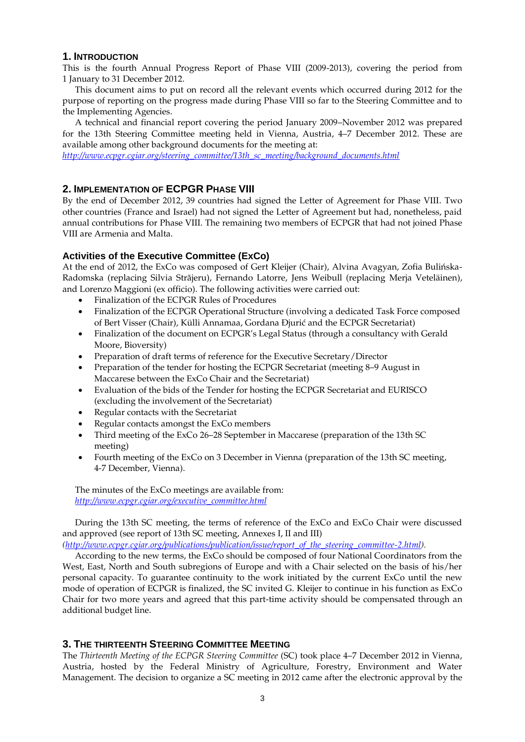### **1. INTRODUCTION**

This is the fourth Annual Progress Report of Phase VIII (2009-2013), covering the period from 1 January to 31 December 2012.

This document aims to put on record all the relevant events which occurred during 2012 for the purpose of reporting on the progress made during Phase VIII so far to the Steering Committee and to the Implementing Agencies.

A technical and financial report covering the period January 2009–November 2012 was prepared for the 13th Steering Committee meeting held in Vienna, Austria, 4–7 December 2012. These are available among other background documents for the meeting at:

*[http://www.ecpgr.cgiar.org/steering\\_committee/13th\\_sc\\_meeting/background\\_documents.html](http://www.ecpgr.cgiar.org/steering_committee/13th_sc_meeting/background_documents.html)*

# **2. IMPLEMENTATION OF ECPGR PHASE VIII**

By the end of December 2012, 39 countries had signed the Letter of Agreement for Phase VIII. Two other countries (France and Israel) had not signed the Letter of Agreement but had, nonetheless, paid annual contributions for Phase VIII. The remaining two members of ECPGR that had not joined Phase VIII are Armenia and Malta.

# **Activities of the Executive Committee (ExCo)**

At the end of 2012, the ExCo was composed of Gert Kleijer (Chair), Alvina Avagyan, Zofia Bulińska-Radomska (replacing Silvia Strãjeru), Fernando Latorre, Jens Weibull (replacing Merja Veteläinen), and Lorenzo Maggioni (ex officio). The following activities were carried out:

- Finalization of the ECPGR Rules of Procedures
- Finalization of the ECPGR Operational Structure (involving a dedicated Task Force composed of Bert Visser (Chair), Külli Annamaa, Gordana Ðjurić and the ECPGR Secretariat)
- Finalization of the document on ECPGR's Legal Status (through a consultancy with Gerald Moore, Bioversity)
- Preparation of draft terms of reference for the Executive Secretary/Director
- Preparation of the tender for hosting the ECPGR Secretariat (meeting 8–9 August in Maccarese between the ExCo Chair and the Secretariat)
- Evaluation of the bids of the Tender for hosting the ECPGR Secretariat and EURISCO (excluding the involvement of the Secretariat)
- Regular contacts with the Secretariat
- Regular contacts amongst the ExCo members
- Third meeting of the ExCo 26–28 September in Maccarese (preparation of the 13th SC meeting)
- Fourth meeting of the ExCo on 3 December in Vienna (preparation of the 13th SC meeting, 4-7 December, Vienna).

The minutes of the ExCo meetings are available from: *[http://www.ecpgr.cgiar.org/executive\\_committee.html](http://www.ecpgr.cgiar.org/executive_committee.html)*

During the 13th SC meeting, the terms of reference of the ExCo and ExCo Chair were discussed and approved (see report of 13th SC meeting, Annexes I, II and III)

*[\(http://www.ecpgr.cgiar.org/publications/publication/issue/report\\_of\\_the\\_steering\\_committee-2.html\)](http://www.ecpgr.cgiar.org/publications/publication/issue/report_of_the_steering_committee-2.html).*

According to the new terms, the ExCo should be composed of four National Coordinators from the West, East, North and South subregions of Europe and with a Chair selected on the basis of his/her personal capacity. To guarantee continuity to the work initiated by the current ExCo until the new mode of operation of ECPGR is finalized, the SC invited G. Kleijer to continue in his function as ExCo Chair for two more years and agreed that this part-time activity should be compensated through an additional budget line.

# **3. THE THIRTEENTH STEERING COMMITTEE MEETING**

The *Thirteenth Meeting of the ECPGR Steering Committee* (SC) took place 4–7 December 2012 in Vienna, Austria, hosted by the Federal Ministry of Agriculture, Forestry, Environment and Water Management. The decision to organize a SC meeting in 2012 came after the electronic approval by the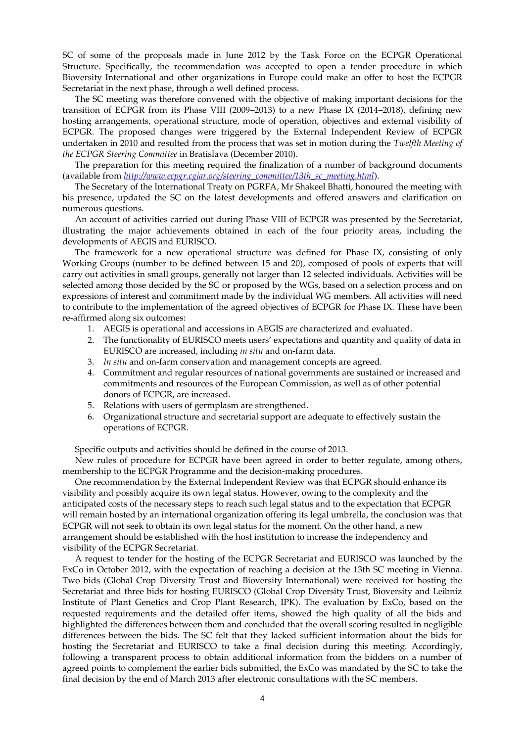SC of some of the proposals made in June 2012 by the Task Force on the ECPGR Operational Structure. Specifically, the recommendation was accepted to open a tender procedure in which Bioversity International and other organizations in Europe could make an offer to host the ECPGR Secretariat in the next phase, through a well defined process.

The SC meeting was therefore convened with the objective of making important decisions for the transition of ECPGR from its Phase VIII (2009–2013) to a new Phase IX (2014–2018), defining new hosting arrangements, operational structure, mode of operation, objectives and external visibility of ECPGR. The proposed changes were triggered by the External Independent Review of ECPGR undertaken in 2010 and resulted from the process that was set in motion during the *Twelfth Meeting of the ECPGR Steering Committee* in Bratislava (December 2010).

The preparation for this meeting required the finalization of a number of background documents (available from *[http://www.ecpgr.cgiar.org/steering\\_committee/13th\\_sc\\_meeting.html](http://www.ecpgr.cgiar.org/steering_committee/13th_sc_meeting.html)*).

The Secretary of the International Treaty on PGRFA, Mr Shakeel Bhatti, honoured the meeting with his presence, updated the SC on the latest developments and offered answers and clarification on numerous questions.

An account of activities carried out during Phase VIII of ECPGR was presented by the Secretariat, illustrating the major achievements obtained in each of the four priority areas, including the developments of AEGIS and EURISCO.

The framework for a new operational structure was defined for Phase IX, consisting of only Working Groups (number to be defined between 15 and 20), composed of pools of experts that will carry out activities in small groups, generally not larger than 12 selected individuals. Activities will be selected among those decided by the SC or proposed by the WGs, based on a selection process and on expressions of interest and commitment made by the individual WG members. All activities will need to contribute to the implementation of the agreed objectives of ECPGR for Phase IX. These have been re-affirmed along six outcomes:

- 1. AEGIS is operational and accessions in AEGIS are characterized and evaluated.
- 2. The functionality of EURISCO meets users' expectations and quantity and quality of data in EURISCO are increased, including *in situ* and on-farm data.
- 3. *In situ* and on-farm conservation and management concepts are agreed.
- 4. Commitment and regular resources of national governments are sustained or increased and commitments and resources of the European Commission, as well as of other potential donors of ECPGR, are increased.
- 5. Relations with users of germplasm are strengthened.
- 6. Organizational structure and secretarial support are adequate to effectively sustain the operations of ECPGR.

Specific outputs and activities should be defined in the course of 2013.

New rules of procedure for ECPGR have been agreed in order to better regulate, among others, membership to the ECPGR Programme and the decision-making procedures.

One recommendation by the External Independent Review was that ECPGR should enhance its visibility and possibly acquire its own legal status. However, owing to the complexity and the anticipated costs of the necessary steps to reach such legal status and to the expectation that ECPGR will remain hosted by an international organization offering its legal umbrella, the conclusion was that ECPGR will not seek to obtain its own legal status for the moment. On the other hand, a new arrangement should be established with the host institution to increase the independency and visibility of the ECPGR Secretariat.

A request to tender for the hosting of the ECPGR Secretariat and EURISCO was launched by the ExCo in October 2012, with the expectation of reaching a decision at the 13th SC meeting in Vienna. Two bids (Global Crop Diversity Trust and Bioversity International) were received for hosting the Secretariat and three bids for hosting EURISCO (Global Crop Diversity Trust, Bioversity and Leibniz Institute of Plant Genetics and Crop Plant Research, IPK). The evaluation by ExCo, based on the requested requirements and the detailed offer items, showed the high quality of all the bids and highlighted the differences between them and concluded that the overall scoring resulted in negligible differences between the bids. The SC felt that they lacked sufficient information about the bids for hosting the Secretariat and EURISCO to take a final decision during this meeting. Accordingly, following a transparent process to obtain additional information from the bidders on a number of agreed points to complement the earlier bids submitted, the ExCo was mandated by the SC to take the final decision by the end of March 2013 after electronic consultations with the SC members.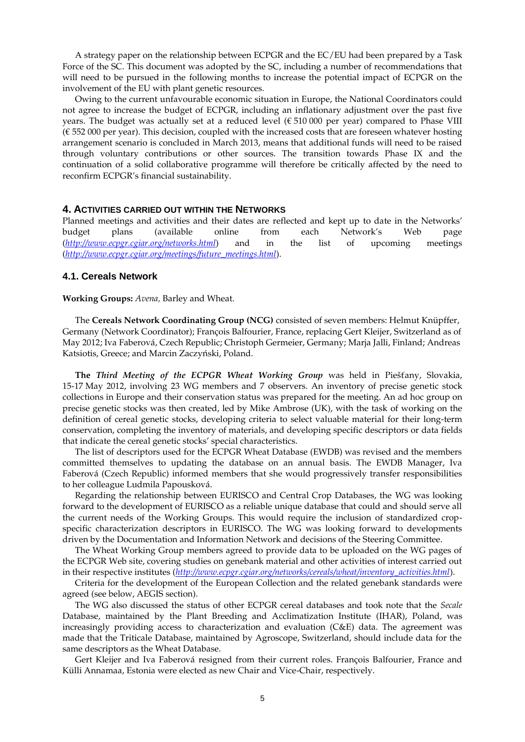A strategy paper on the relationship between ECPGR and the EC/EU had been prepared by a Task Force of the SC. This document was adopted by the SC, including a number of recommendations that will need to be pursued in the following months to increase the potential impact of ECPGR on the involvement of the EU with plant genetic resources.

Owing to the current unfavourable economic situation in Europe, the National Coordinators could not agree to increase the budget of ECPGR, including an inflationary adjustment over the past five years. The budget was actually set at a reduced level ( $\epsilon$  510 000 per year) compared to Phase VIII (€ 552 000 per year). This decision, coupled with the increased costs that are foreseen whatever hosting arrangement scenario is concluded in March 2013, means that additional funds will need to be raised through voluntary contributions or other sources. The transition towards Phase IX and the continuation of a solid collaborative programme will therefore be critically affected by the need to reconfirm ECPGR's financial sustainability.

#### **4. ACTIVITIES CARRIED OUT WITHIN THE NETWORKS**

Planned meetings and activities and their dates are reflected and kept up to date in the Networks' budget plans (available online from each Network's Web page (*<http://www.ecpgr.cgiar.org/networks.html>*) and in the list of upcoming meetings (*[http://www.ecpgr.cgiar.org/meetings/future\\_meetings.html](http://www.ecpgr.cgiar.org/meetings/future_meetings.html)*).

### **4.1. Cereals Network**

#### **Working Groups:** *Avena,* Barley and Wheat.

The **Cereals Network Coordinating Group (NCG)** consisted of seven members: Helmut Knüpffer, Germany (Network Coordinator); François Balfourier, France, replacing Gert Kleijer, Switzerland as of May 2012; Iva Faberová, Czech Republic; Christoph Germeier, Germany; Marja Jalli, Finland; Andreas Katsiotis, Greece; and Marcin Zaczyński, Poland.

**The** *Third Meeting of the ECPGR Wheat Working Group* was held in Piešťany, Slovakia, 15-17 May 2012, involving 23 WG members and 7 observers. An inventory of precise genetic stock collections in Europe and their conservation status was prepared for the meeting. An ad hoc group on precise genetic stocks was then created, led by Mike Ambrose (UK), with the task of working on the definition of cereal genetic stocks, developing criteria to select valuable material for their long-term conservation, completing the inventory of materials, and developing specific descriptors or data fields that indicate the cereal genetic stocks' special characteristics.

The list of descriptors used for the ECPGR Wheat Database (EWDB) was revised and the members committed themselves to updating the database on an annual basis. The EWDB Manager, Iva Faberová (Czech Republic) informed members that she would progressively transfer responsibilities to her colleague Ludmila Papousková.

Regarding the relationship between EURISCO and Central Crop Databases, the WG was looking forward to the development of EURISCO as a reliable unique database that could and should serve all the current needs of the Working Groups. This would require the inclusion of standardized cropspecific characterization descriptors in EURISCO. The WG was looking forward to developments driven by the Documentation and Information Network and decisions of the Steering Committee.

The Wheat Working Group members agreed to provide data to be uploaded on the WG pages of the ECPGR Web site, covering studies on genebank material and other activities of interest carried out in their respective institutes (*[http://www.ecpgr.cgiar.org/networks/cereals/wheat/inventory\\_activities.html](http://www.ecpgr.cgiar.org/networks/cereals/wheat/inventory_activities.html)*).

Criteria for the development of the European Collection and the related genebank standards were agreed (see below, AEGIS section).

The WG also discussed the status of other ECPGR cereal databases and took note that the *Secale* Database, maintained by the Plant Breeding and Acclimatization Institute (IHAR), Poland, was increasingly providing access to characterization and evaluation (C&E) data. The agreement was made that the Triticale Database, maintained by Agroscope, Switzerland, should include data for the same descriptors as the Wheat Database.

Gert Kleijer and Iva Faberová resigned from their current roles. François Balfourier, France and Külli Annamaa, Estonia were elected as new Chair and Vice-Chair, respectively.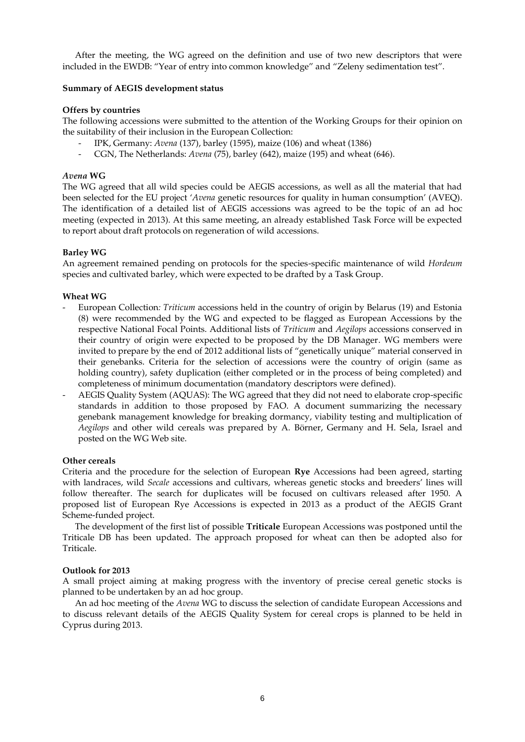After the meeting, the WG agreed on the definition and use of two new descriptors that were included in the EWDB: "Year of entry into common knowledge" and "Zeleny sedimentation test".

### **Summary of AEGIS development status**

### **Offers by countries**

The following accessions were submitted to the attention of the Working Groups for their opinion on the suitability of their inclusion in the European Collection:

- IPK, Germany: *Avena* (137), barley (1595), maize (106) and wheat (1386)
- CGN, The Netherlands: *Avena* (75), barley (642), maize (195) and wheat (646).

### *Avena* **WG**

The WG agreed that all wild species could be AEGIS accessions, as well as all the material that had been selected for the EU project '*Avena* genetic resources for quality in human consumption' (AVEQ). The identification of a detailed list of AEGIS accessions was agreed to be the topic of an ad hoc meeting (expected in 2013). At this same meeting, an already established Task Force will be expected to report about draft protocols on regeneration of wild accessions.

### **Barley WG**

An agreement remained pending on protocols for the species-specific maintenance of wild *Hordeum* species and cultivated barley, which were expected to be drafted by a Task Group.

### **Wheat WG**

- European Collection*: Triticum* accessions held in the country of origin by Belarus (19) and Estonia (8) were recommended by the WG and expected to be flagged as European Accessions by the respective National Focal Points. Additional lists of *Triticum* and *Aegilops* accessions conserved in their country of origin were expected to be proposed by the DB Manager. WG members were invited to prepare by the end of 2012 additional lists of "genetically unique" material conserved in their genebanks. Criteria for the selection of accessions were the country of origin (same as holding country), safety duplication (either completed or in the process of being completed) and completeness of minimum documentation (mandatory descriptors were defined).
- AEGIS Quality System (AQUAS): The WG agreed that they did not need to elaborate crop-specific standards in addition to those proposed by FAO. A document summarizing the necessary genebank management knowledge for breaking dormancy, viability testing and multiplication of *Aegilops* and other wild cereals was prepared by A. Börner, Germany and H. Sela, Israel and posted on the WG Web site.

### **Other cereals**

Criteria and the procedure for the selection of European **Rye** Accessions had been agreed, starting with landraces, wild *Secale* accessions and cultivars, whereas genetic stocks and breeders' lines will follow thereafter. The search for duplicates will be focused on cultivars released after 1950. A proposed list of European Rye Accessions is expected in 2013 as a product of the AEGIS Grant Scheme-funded project.

The development of the first list of possible **Triticale** European Accessions was postponed until the Triticale DB has been updated. The approach proposed for wheat can then be adopted also for Triticale.

### **Outlook for 2013**

A small project aiming at making progress with the inventory of precise cereal genetic stocks is planned to be undertaken by an ad hoc group.

An ad hoc meeting of the *Avena* WG to discuss the selection of candidate European Accessions and to discuss relevant details of the AEGIS Quality System for cereal crops is planned to be held in Cyprus during 2013.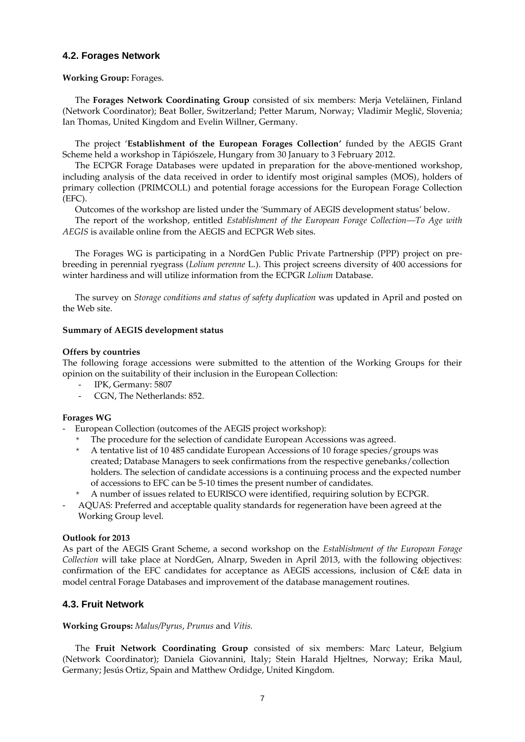# **4.2. Forages Network**

#### **Working Group:** Forages.

The **Forages Network Coordinating Group** consisted of six members: Merja Veteläinen, Finland (Network Coordinator); Beat Boller, Switzerland; Petter Marum, Norway; Vladimir Meglič, Slovenia; Ian Thomas, United Kingdom and Evelin Willner, Germany.

The project '**Establishment of the European Forages Collection'** funded by the AEGIS Grant Scheme held a workshop in Tápiószele, Hungary from 30 January to 3 February 2012.

The ECPGR Forage Databases were updated in preparation for the above-mentioned workshop, including analysis of the data received in order to identify most original samples (MOS), holders of primary collection (PRIMCOLL) and potential forage accessions for the European Forage Collection (EFC).

Outcomes of the workshop are listed under the 'Summary of AEGIS development status' below.

The report of the workshop, entitled *[Establishment of the European Forage Collection](http://www.ecpgr.cgiar.org/publications/publication/issue/establishment_of_the_european_forage_collection_quotto_age_with_aegisquot.html)—To Age with [AEGIS](http://www.ecpgr.cgiar.org/publications/publication/issue/establishment_of_the_european_forage_collection_quotto_age_with_aegisquot.html)* is available online from the AEGIS and ECPGR Web sites.

The Forages WG is participating in a NordGen Public Private Partnership (PPP) project on prebreeding in perennial ryegrass (*Lolium perenne* L.). This project screens diversity of 400 accessions for winter hardiness and will utilize information from the ECPGR *Lolium* Database.

The survey on *Storage conditions and status of safety duplication* was updated in April and posted on the Web site.

### **Summary of AEGIS development status**

#### **Offers by countries**

The following forage accessions were submitted to the attention of the Working Groups for their opinion on the suitability of their inclusion in the European Collection:

- IPK, Germany: 5807
- CGN, The Netherlands: 852.

### **Forages WG**

European Collection (outcomes of the AEGIS project workshop):

- The procedure for the selection of candidate European Accessions was agreed.
- A tentative list of 10 485 candidate European Accessions of 10 forage species/groups was created; Database Managers to seek confirmations from the respective genebanks/collection holders. The selection of candidate accessions is a continuing process and the expected number of accessions to EFC can be 5-10 times the present number of candidates.
- A number of issues related to EURISCO were identified, requiring solution by ECPGR.
- AQUAS: Preferred and acceptable quality standards for regeneration have been agreed at the Working Group level.

#### **Outlook for 2013**

As part of the AEGIS Grant Scheme, a second workshop on the *Establishment of the European Forage Collection* will take place at NordGen, Alnarp, Sweden in April 2013, with the following objectives: confirmation of the EFC candidates for acceptance as AEGIS accessions, inclusion of C&E data in model central Forage Databases and improvement of the database management routines.

# **4.3. Fruit Network**

### **Working Groups:** *Malus/Pyrus*, *Prunus* and *Vitis.*

The **Fruit Network Coordinating Group** consisted of six members: Marc Lateur, Belgium (Network Coordinator); Daniela Giovannini, Italy; Stein Harald Hjeltnes, Norway; Erika Maul, Germany; Jesús Ortiz, Spain and Matthew Ordidge, United Kingdom.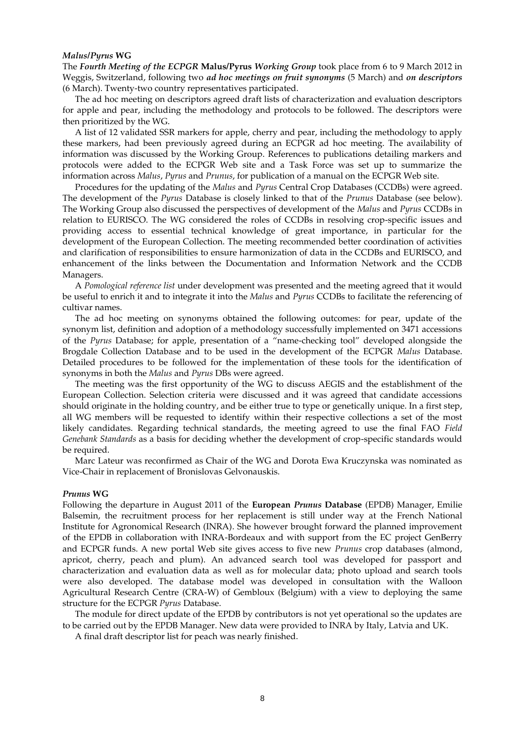#### *Malus/Pyrus* **WG**

The *Fourth Meeting of the ECPGR* **Malus/Pyrus** *Working Group* took place from 6 to 9 March 2012 in Weggis, Switzerland, following two *ad hoc meetings on fruit synonyms* (5 March) and *on descriptors* (6 March). Twenty-two country representatives participated.

The ad hoc meeting on descriptors agreed draft lists of characterization and evaluation descriptors for apple and pear, including the methodology and protocols to be followed. The descriptors were then prioritized by the WG.

A list of 12 validated SSR markers for apple, cherry and pear, including the methodology to apply these markers, had been previously agreed during an ECPGR ad hoc meeting. The availability of information was discussed by the Working Group. References to publications detailing markers and protocols were added to the ECPGR Web site and a Task Force was set up to summarize the information across *Malus*, *Pyrus* and *Prunus*, for publication of a manual on the ECPGR Web site.

Procedures for the updating of the *Malus* and *Pyrus* Central Crop Databases (CCDBs) were agreed. The development of the *Pyrus* Database is closely linked to that of the *Prunus* Database (see below). The Working Group also discussed the perspectives of development of the *Malus* and *Pyrus* CCDBs in relation to EURISCO. The WG considered the roles of CCDBs in resolving crop-specific issues and providing access to essential technical knowledge of great importance, in particular for the development of the European Collection. The meeting recommended better coordination of activities and clarification of responsibilities to ensure harmonization of data in the CCDBs and EURISCO, and enhancement of the links between the Documentation and Information Network and the CCDB Managers.

A *Pomological reference list* under development was presented and the meeting agreed that it would be useful to enrich it and to integrate it into the *Malus* and *Pyrus* CCDBs to facilitate the referencing of cultivar names.

The ad hoc meeting on synonyms obtained the following outcomes: for pear, update of the synonym list, definition and adoption of a methodology successfully implemented on 3471 accessions of the *Pyrus* Database; for apple, presentation of a "name-checking tool" developed alongside the Brogdale Collection Database and to be used in the development of the ECPGR *Malus* Database. Detailed procedures to be followed for the implementation of these tools for the identification of synonyms in both the *Malus* and *Pyrus* DBs were agreed.

The meeting was the first opportunity of the WG to discuss AEGIS and the establishment of the European Collection. Selection criteria were discussed and it was agreed that candidate accessions should originate in the holding country, and be either true to type or genetically unique. In a first step, all WG members will be requested to identify within their respective collections a set of the most likely candidates. Regarding technical standards, the meeting agreed to use the final FAO *Field Genebank Standards* as a basis for deciding whether the development of crop-specific standards would be required.

Marc Lateur was reconfirmed as Chair of the WG and Dorota Ewa Kruczynska was nominated as Vice-Chair in replacement of Bronislovas Gelvonauskis.

#### *Prunus* **WG**

Following the departure in August 2011 of the **European** *Prunus* **Database** (EPDB) Manager, Emilie Balsemin, the recruitment process for her replacement is still under way at the French National Institute for Agronomical Research (INRA). She however brought forward the planned improvement of the EPDB in collaboration with INRA-Bordeaux and with support from the EC project GenBerry and ECPGR funds. A new portal Web site gives access to five new *Prunus* crop databases (almond, apricot, cherry, peach and plum). An advanced search tool was developed for passport and characterization and evaluation data as well as for molecular data; photo upload and search tools were also developed. The database model was developed in consultation with the Walloon Agricultural Research Centre (CRA-W) of Gembloux (Belgium) with a view to deploying the same structure for the ECPGR *Pyrus* Database.

The module for direct update of the EPDB by contributors is not yet operational so the updates are to be carried out by the EPDB Manager. New data were provided to INRA by Italy, Latvia and UK.

A final draft descriptor list for peach was nearly finished.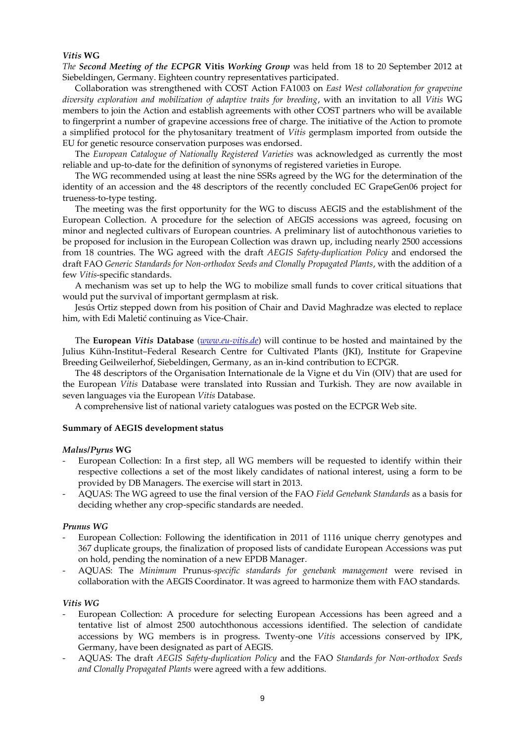#### *Vitis* **WG**

*The Second Meeting of the ECPGR* **Vitis** *Working Group* was held from 18 to 20 September 2012 at Siebeldingen, Germany. Eighteen country representatives participated.

Collaboration was strengthened with COST Action FA1003 on *East West collaboration for grapevine diversity exploration and mobilization of adaptive traits for breeding*, with an invitation to all *Vitis* WG members to join the Action and establish agreements with other COST partners who will be available to fingerprint a number of grapevine accessions free of charge. The initiative of the Action to promote a simplified protocol for the phytosanitary treatment of *Vitis* germplasm imported from outside the EU for genetic resource conservation purposes was endorsed.

The *European Catalogue of Nationally Registered Varieties* was acknowledged as currently the most reliable and up-to-date for the definition of synonyms of registered varieties in Europe.

The WG recommended using at least the nine SSRs agreed by the WG for the determination of the identity of an accession and the 48 descriptors of the recently concluded EC GrapeGen06 project for trueness-to-type testing.

The meeting was the first opportunity for the WG to discuss AEGIS and the establishment of the European Collection. A procedure for the selection of AEGIS accessions was agreed, focusing on minor and neglected cultivars of European countries. A preliminary list of autochthonous varieties to be proposed for inclusion in the European Collection was drawn up, including nearly 2500 accessions from 18 countries. The WG agreed with the draft *AEGIS Safety-duplication Policy* and endorsed the draft FAO *Generic Standards for Non-orthodox Seeds and Clonally Propagated Plants*, with the addition of a few *Vitis*-specific standards.

A mechanism was set up to help the WG to mobilize small funds to cover critical situations that would put the survival of important germplasm at risk.

Jesús Ortiz stepped down from his position of Chair and David Maghradze was elected to replace him, with Edi Maletić continuing as Vice-Chair.

The **European** *Vitis* **Database** (*[www.eu-vitis.de](file:///C:/Users/erika.maul/AppData/Local/Microsoft/Windows/Temporary%20Internet%20Files/Content.Outlook/ZUZHUV48/www.eu-vitis.de)*) will continue to be hosted and maintained by the Julius Kühn-Institut–Federal Research Centre for Cultivated Plants (JKI), Institute for Grapevine Breeding Geilweilerhof, Siebeldingen, Germany, as an in-kind contribution to ECPGR.

The 48 descriptors of the Organisation Internationale de la Vigne et du Vin (OIV) that are used for the European *Vitis* Database were translated into Russian and Turkish. They are now available in seven languages via the European *Vitis* Database.

A comprehensive list of national variety catalogues was posted on the ECPGR Web site.

### **Summary of AEGIS development status**

#### *Malus/Pyrus* **WG**

- European Collection: In a first step, all WG members will be requested to identify within their respective collections a set of the most likely candidates of national interest, using a form to be provided by DB Managers. The exercise will start in 2013.
- AQUAS: The WG agreed to use the final version of the FAO *Field Genebank Standards* as a basis for deciding whether any crop-specific standards are needed.

### *Prunus WG*

- European Collection: Following the identification in 2011 of 1116 unique cherry genotypes and 367 duplicate groups, the finalization of proposed lists of candidate European Accessions was put on hold, pending the nomination of a new EPDB Manager.
- AQUAS: The *Minimum* Prunus*-specific standards for genebank management* were revised in collaboration with the AEGIS Coordinator. It was agreed to harmonize them with FAO standards.

### *Vitis WG*

- European Collection: A procedure for selecting European Accessions has been agreed and a tentative list of almost 2500 autochthonous accessions identified. The selection of candidate accessions by WG members is in progress. Twenty-one *Vitis* accessions conserved by IPK, Germany, have been designated as part of AEGIS.
- AQUAS: The draft *AEGIS Safety-duplication Policy* and the FAO *Standards for Non-orthodox Seeds and Clonally Propagated Plants* were agreed with a few additions.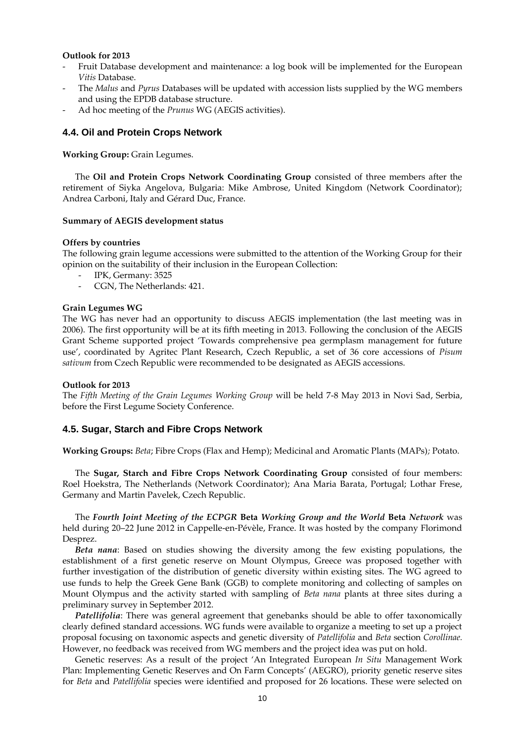#### **Outlook for 2013**

- Fruit Database development and maintenance: a log book will be implemented for the European *Vitis* Database.
- The *Malus* and *Pyrus* Databases will be updated with accession lists supplied by the WG members and using the EPDB database structure.
- Ad hoc meeting of the *Prunus* WG (AEGIS activities).

### **4.4. Oil and Protein Crops Network**

**Working Group:** Grain Legumes.

The **Oil and Protein Crops Network Coordinating Group** consisted of three members after the retirement of Siyka Angelova, Bulgaria: Mike Ambrose, United Kingdom (Network Coordinator); Andrea Carboni, Italy and Gérard Duc, France.

#### **Summary of AEGIS development status**

#### **Offers by countries**

The following grain legume accessions were submitted to the attention of the Working Group for their opinion on the suitability of their inclusion in the European Collection:

- IPK, Germany: 3525
- CGN, The Netherlands: 421.

#### **Grain Legumes WG**

The WG has never had an opportunity to discuss AEGIS implementation (the last meeting was in 2006). The first opportunity will be at its fifth meeting in 2013. Following the conclusion of the AEGIS Grant Scheme supported project 'Towards comprehensive pea germplasm management for future use', coordinated by Agritec Plant Research, Czech Republic, a set of 36 core accessions of *Pisum sativum* from Czech Republic were recommended to be designated as AEGIS accessions.

#### **Outlook for 2013**

The *Fifth Meeting of the Grain Legumes Working Group* will be held 7-8 May 2013 in Novi Sad, Serbia, before the First Legume Society Conference.

### **4.5. Sugar, Starch and Fibre Crops Network**

**Working Groups:** *Beta*; Fibre Crops (Flax and Hemp); Medicinal and Aromatic Plants (MAPs)*;* Potato.

The **Sugar, Starch and Fibre Crops Network Coordinating Group** consisted of four members: Roel Hoekstra, The Netherlands (Network Coordinator); Ana Maria Barata, Portugal; Lothar Frese, Germany and Martin Pavelek, Czech Republic.

The *Fourth Joint Meeting of the ECPGR* **Beta** *Working Group and the World* **Beta** *Network* was held during 20–22 June 2012 in Cappelle-en-Pévèle, France. It was hosted by the company Florimond Desprez.

*Beta nana*: Based on studies showing the diversity among the few existing populations, the establishment of a first genetic reserve on Mount Olympus, Greece was proposed together with further investigation of the distribution of genetic diversity within existing sites. The WG agreed to use funds to help the Greek Gene Bank (GGB) to complete monitoring and collecting of samples on Mount Olympus and the activity started with sampling of *Beta nana* plants at three sites during a preliminary survey in September 2012.

*Patellifolia*: There was general agreement that genebanks should be able to offer taxonomically clearly defined standard accessions. WG funds were available to organize a meeting to set up a project proposal focusing on taxonomic aspects and genetic diversity of *Patellifolia* and *Beta* section *Corollinae.* However, no feedback was received from WG members and the project idea was put on hold.

Genetic reserves: As a result of the project 'An Integrated European *In Situ* Management Work Plan: Implementing Genetic Reserves and On Farm Concepts' (AEGRO), priority genetic reserve sites for *Beta* and *Patellifolia* species were identified and proposed for 26 locations. These were selected on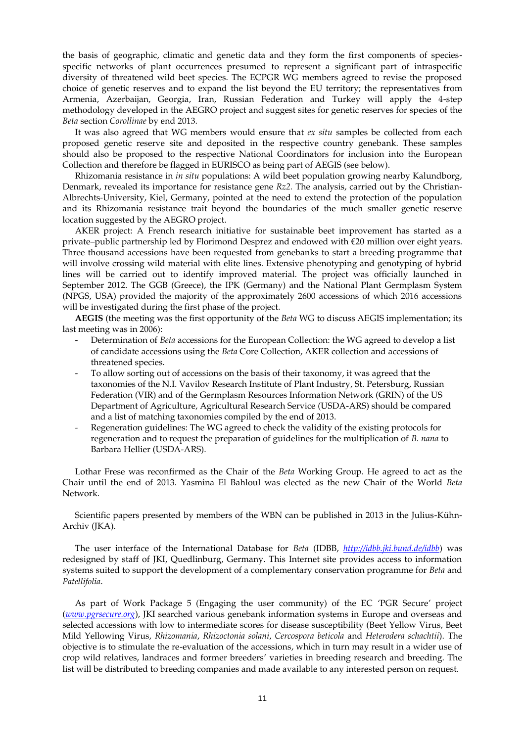the basis of geographic, climatic and genetic data and they form the first components of speciesspecific networks of plant occurrences presumed to represent a significant part of intraspecific diversity of threatened wild beet species. The ECPGR WG members agreed to revise the proposed choice of genetic reserves and to expand the list beyond the EU territory; the representatives from Armenia, Azerbaijan, Georgia, Iran, Russian Federation and Turkey will apply the 4-step methodology developed in the AEGRO project and suggest sites for genetic reserves for species of the *Beta* section *Corollinae* by end 2013.

It was also agreed that WG members would ensure that *ex situ* samples be collected from each proposed genetic reserve site and deposited in the respective country genebank. These samples should also be proposed to the respective National Coordinators for inclusion into the European Collection and therefore be flagged in EURISCO as being part of AEGIS (see below).

Rhizomania resistance in *in situ* populations: A wild beet population growing nearby Kalundborg, Denmark, revealed its importance for resistance gene *Rz2.* The analysis, carried out by the Christian-Albrechts-University, Kiel, Germany, pointed at the need to extend the protection of the population and its Rhizomania resistance trait beyond the boundaries of the much smaller genetic reserve location suggested by the AEGRO project.

AKER project: A French research initiative for sustainable beet improvement has started as a private–public partnership led by Florimond Desprez and endowed with €20 million over eight years. Three thousand accessions have been requested from genebanks to start a breeding programme that will involve crossing wild material with elite lines. Extensive phenotyping and genotyping of hybrid lines will be carried out to identify improved material. The project was officially launched in September 2012. The GGB (Greece), the IPK (Germany) and the National Plant Germplasm System (NPGS, USA) provided the majority of the approximately 2600 accessions of which 2016 accessions will be investigated during the first phase of the project.

**AEGIS** (the meeting was the first opportunity of the *Beta* WG to discuss AEGIS implementation; its last meeting was in 2006):

- Determination of *Beta* accessions for the European Collection: the WG agreed to develop a list of candidate accessions using the *Beta* Core Collection, AKER collection and accessions of threatened species.
- To allow sorting out of accessions on the basis of their taxonomy, it was agreed that the taxonomies of the N.I. Vavilov Research Institute of Plant Industry, St. Petersburg, Russian Federation (VIR) and of the Germplasm Resources Information Network (GRIN) of the US Department of Agriculture, Agricultural Research Service (USDA-ARS) should be compared and a list of matching taxonomies compiled by the end of 2013.
- Regeneration guidelines: The WG agreed to check the validity of the existing protocols for regeneration and to request the preparation of guidelines for the multiplication of *B. nana* to Barbara Hellier (USDA-ARS).

Lothar Frese was reconfirmed as the Chair of the *Beta* Working Group. He agreed to act as the Chair until the end of 2013. Yasmina El Bahloul was elected as the new Chair of the World *Beta* Network.

Scientific papers presented by members of the WBN can be published in 2013 in the Julius-Kühn-Archiv (JKA).

The user interface of the International Database for *Beta* (IDBB, *<http://idbb.jki.bund.de/idbb>*) was redesigned by staff of JKI, Quedlinburg, Germany. This Internet site provides access to information systems suited to support the development of a complementary conservation programme for *Beta* and *Patellifolia*.

As part of Work Package 5 (Engaging the user community) of the EC 'PGR Secure' project (*[www.pgrsecure.org](http://www.pgrsecure.org/)*), JKI searched various genebank information systems in Europe and overseas and selected accessions with low to intermediate scores for disease susceptibility (Beet Yellow Virus, Beet Mild Yellowing Virus, *Rhizomania*, *Rhizoctonia solani*, *Cercospora beticola* and *Heterodera schachtii*). The objective is to stimulate the re-evaluation of the accessions, which in turn may result in a wider use of crop wild relatives, landraces and former breeders' varieties in breeding research and breeding. The list will be distributed to breeding companies and made available to any interested person on request.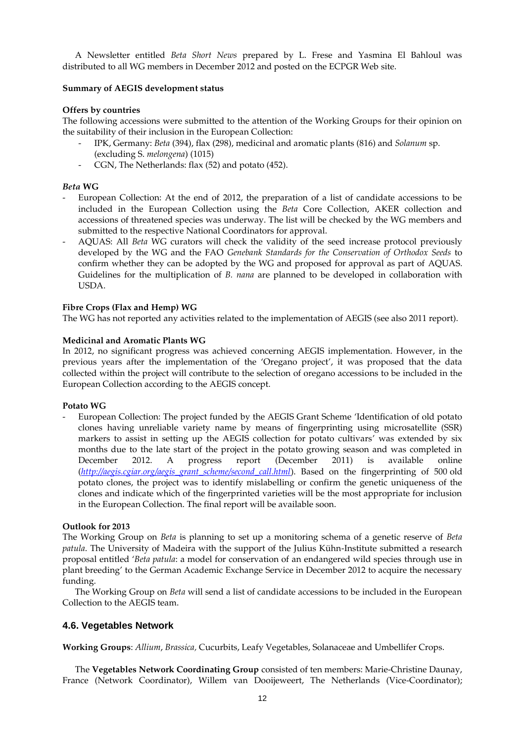A Newsletter entitled *Beta Short News* prepared by L. Frese and Yasmina El Bahloul was distributed to all WG members in December 2012 and posted on the ECPGR Web site.

### **Summary of AEGIS development status**

### **Offers by countries**

The following accessions were submitted to the attention of the Working Groups for their opinion on the suitability of their inclusion in the European Collection:

- IPK, Germany: *Beta* (394), flax (298), medicinal and aromatic plants (816) and *Solanum* sp. (excluding S. *melongena*) (1015)
- CGN, The Netherlands: flax (52) and potato (452).

### *Beta* **WG**

- European Collection: At the end of 2012, the preparation of a list of candidate accessions to be included in the European Collection using the *Beta* Core Collection, AKER collection and accessions of threatened species was underway. The list will be checked by the WG members and submitted to the respective National Coordinators for approval.
- AQUAS: All *Beta* WG curators will check the validity of the seed increase protocol previously developed by the WG and the FAO *Genebank Standards for the Conservation of Orthodox Seeds* to confirm whether they can be adopted by the WG and proposed for approval as part of AQUAS. Guidelines for the multiplication of *B. nana* are planned to be developed in collaboration with USDA.

### **Fibre Crops (Flax and Hemp) WG**

The WG has not reported any activities related to the implementation of AEGIS (see also 2011 report).

### **Medicinal and Aromatic Plants WG**

In 2012, no significant progress was achieved concerning AEGIS implementation. However, in the previous years after the implementation of the 'Oregano project', it was proposed that the data collected within the project will contribute to the selection of oregano accessions to be included in the European Collection according to the AEGIS concept.

### **Potato WG**

- European Collection: The project funded by the AEGIS Grant Scheme 'Identification of old potato clones having unreliable variety name by means of fingerprinting using microsatellite (SSR) markers to assist in setting up the AEGIS collection for potato cultivars' was extended by six months due to the late start of the project in the potato growing season and was completed in December 2012. A progress report (December 2011) is available online (*[http://aegis.cgiar.org/aegis\\_grant\\_scheme/second\\_call.html](http://aegis.cgiar.org/aegis_grant_scheme/second_call.html)*). Based on the fingerprinting of 500 old potato clones, the project was to identify mislabelling or confirm the genetic uniqueness of the clones and indicate which of the fingerprinted varieties will be the most appropriate for inclusion in the European Collection. The final report will be available soon.

### **Outlook for 2013**

The Working Group on *Beta* is planning to set up a monitoring schema of a genetic reserve of *Beta patula*. The University of Madeira with the support of the Julius Kühn-Institute submitted a research proposal entitled '*Beta patula*: a model for conservation of an endangered wild species through use in plant breeding' to the German Academic Exchange Service in December 2012 to acquire the necessary funding.

The Working Group on *Beta* will send a list of candidate accessions to be included in the European Collection to the AEGIS team.

# **4.6. Vegetables Network**

**Working Groups**: *Allium*, *Brassica,* Cucurbits, Leafy Vegetables, Solanaceae and Umbellifer Crops.

The **Vegetables Network Coordinating Group** consisted of ten members: Marie-Christine Daunay, France (Network Coordinator), Willem van Dooijeweert, The Netherlands (Vice-Coordinator);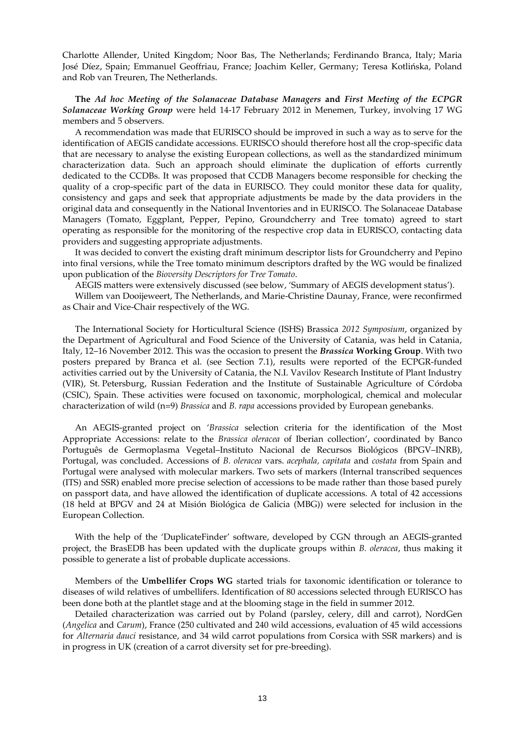Charlotte Allender, United Kingdom; Noor Bas, The Netherlands; Ferdinando Branca, Italy; Maria José Díez, Spain; Emmanuel Geoffriau, France; Joachim Keller, Germany; Teresa Kotlińska, Poland and Rob van Treuren, The Netherlands.

### **The** *Ad hoc Meeting of the Solanaceae Database Managers* **and** *First Meeting of the ECPGR Solanaceae Working Group* were held 14-17 February 2012 in Menemen, Turkey, involving 17 WG members and 5 observers.

A recommendation was made that EURISCO should be improved in such a way as to serve for the identification of AEGIS candidate accessions. EURISCO should therefore host all the crop-specific data that are necessary to analyse the existing European collections, as well as the standardized minimum characterization data. Such an approach should eliminate the duplication of efforts currently dedicated to the CCDBs. It was proposed that CCDB Managers become responsible for checking the quality of a crop-specific part of the data in EURISCO. They could monitor these data for quality, consistency and gaps and seek that appropriate adjustments be made by the data providers in the original data and consequently in the National Inventories and in EURISCO. The Solanaceae Database Managers (Tomato, Eggplant, Pepper, Pepino, Groundcherry and Tree tomato) agreed to start operating as responsible for the monitoring of the respective crop data in EURISCO, contacting data providers and suggesting appropriate adjustments.

It was decided to convert the existing draft minimum descriptor lists for Groundcherry and Pepino into final versions, while the Tree tomato minimum descriptors drafted by the WG would be finalized upon publication of the *Bioversity Descriptors for Tree Tomato*.

AEGIS matters were extensively discussed (see below, 'Summary of AEGIS development status').

Willem van Dooijeweert, The Netherlands, and Marie-Christine Daunay, France, were reconfirmed as Chair and Vice-Chair respectively of the WG.

The International Society for Horticultural Science (ISHS) Brassica *2012 Symposium*, organized by the Department of Agricultural and Food Science of the University of Catania, was held in Catania, Italy, 12–16 November 2012. This was the occasion to present the *Brassica* **Working Group**. With two posters prepared by Branca et al. (see Section 7.1), results were reported of the ECPGR-funded activities carried out by the University of Catania, the N.I. Vavilov Research Institute of Plant Industry (VIR), St. Petersburg, Russian Federation and the Institute of Sustainable Agriculture of Córdoba (CSIC), Spain. These activities were focused on taxonomic, morphological, chemical and molecular characterization of wild (n=9) *Brassica* and *B. rapa* accessions provided by European genebanks.

An AEGIS-granted project on '*Brassica* selection criteria for the identification of the Most Appropriate Accessions: relate to the *Brassica oleracea* of Iberian collection', coordinated by Banco Português de Germoplasma Vegetal–Instituto Nacional de Recursos Biológicos (BPGV–INRB), Portugal, was concluded. Accessions of *B. oleracea* vars. *acephala, capitata* and *costata* from Spain and Portugal were analysed with molecular markers. Two sets of markers (Internal transcribed sequences (ITS) and SSR) enabled more precise selection of accessions to be made rather than those based purely on passport data, and have allowed the identification of duplicate accessions. A total of 42 accessions (18 held at BPGV and 24 at Misión Biológica de Galicia (MBG)) were selected for inclusion in the European Collection.

With the help of the 'DuplicateFinder' software, developed by CGN through an AEGIS-granted project, the BrasEDB has been updated with the duplicate groups within *B. oleracea*, thus making it possible to generate a list of probable duplicate accessions.

Members of the **Umbellifer Crops WG** started trials for taxonomic identification or tolerance to diseases of wild relatives of umbellifers. Identification of 80 accessions selected through EURISCO has been done both at the plantlet stage and at the blooming stage in the field in summer 2012.

Detailed characterization was carried out by Poland (parsley, celery, dill and carrot), NordGen (*Angelica* and *Carum*), France (250 cultivated and 240 wild accessions, evaluation of 45 wild accessions for *Alternaria dauci* resistance, and 34 wild carrot populations from Corsica with SSR markers) and is in progress in UK (creation of a carrot diversity set for pre-breeding).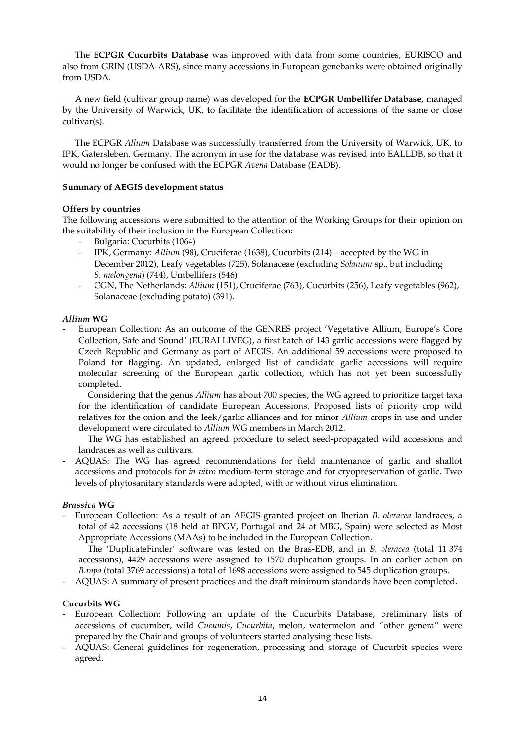The **ECPGR Cucurbits Database** was improved with data from some countries, EURISCO and also from GRIN (USDA-ARS), since many accessions in European genebanks were obtained originally from USDA.

A new field (cultivar group name) was developed for the **ECPGR Umbellifer Database,** managed by the University of Warwick, UK, to facilitate the identification of accessions of the same or close cultivar(s).

The ECPGR *Allium* Database was successfully transferred from the University of Warwick, UK, to IPK, Gatersleben, Germany. The acronym in use for the database was revised into EALLDB, so that it would no longer be confused with the ECPGR *Avena* Database (EADB).

### **Summary of AEGIS development status**

### **Offers by countries**

The following accessions were submitted to the attention of the Working Groups for their opinion on the suitability of their inclusion in the European Collection:

- Bulgaria: Cucurbits (1064)
- IPK, Germany: *Allium* (98), Cruciferae (1638), Cucurbits (214) accepted by the WG in December 2012), Leafy vegetables (725), Solanaceae (excluding *Solanum* sp., but including *S. melongena*) (744), Umbellifers (546)
- CGN, The Netherlands: *Allium* (151), Cruciferae (763), Cucurbits (256), Leafy vegetables (962), Solanaceae (excluding potato) (391).

# *Allium* **WG**

- European Collection: As an outcome of the GENRES project 'Vegetative Allium, Europe's Core Collection, Safe and Sound' (EURALLIVEG), a first batch of 143 garlic accessions were flagged by Czech Republic and Germany as part of AEGIS. An additional 59 accessions were proposed to Poland for flagging. An updated, enlarged list of candidate garlic accessions will require molecular screening of the European garlic collection, which has not yet been successfully completed.

Considering that the genus *Allium* has about 700 species, the WG agreed to prioritize target taxa for the identification of candidate European Accessions. Proposed lists of priority crop wild relatives for the onion and the leek/garlic alliances and for minor *Allium* crops in use and under development were circulated to *Allium* WG members in March 2012.

The WG has established an agreed procedure to select seed-propagated wild accessions and landraces as well as cultivars.

- AQUAS: The WG has agreed recommendations for field maintenance of garlic and shallot accessions and protocols for *in vitro* medium-term storage and for cryopreservation of garlic. Two levels of phytosanitary standards were adopted, with or without virus elimination.

### *Brassica* **WG**

- European Collection: As a result of an AEGIS-granted project on Iberian *B. oleracea* landraces, a total of 42 accessions (18 held at BPGV, Portugal and 24 at MBG, Spain) were selected as Most Appropriate Accessions (MAAs) to be included in the European Collection.

The 'DuplicateFinder' software was tested on the Bras-EDB, and in *B. oleracea* (total 11 374 accessions), 4429 accessions were assigned to 1570 duplication groups. In an earlier action on *B.rapa* (total 3769 accessions) a total of 1698 accessions were assigned to 545 duplication groups.

- AQUAS: A summary of present practices and the draft minimum standards have been completed.

# **Cucurbits WG**

- European Collection: Following an update of the Cucurbits Database, preliminary lists of accessions of cucumber, wild *Cucumis*, *Cucurbita*, melon, watermelon and "other genera" were prepared by the Chair and groups of volunteers started analysing these lists.
- AQUAS: General guidelines for regeneration, processing and storage of Cucurbit species were agreed.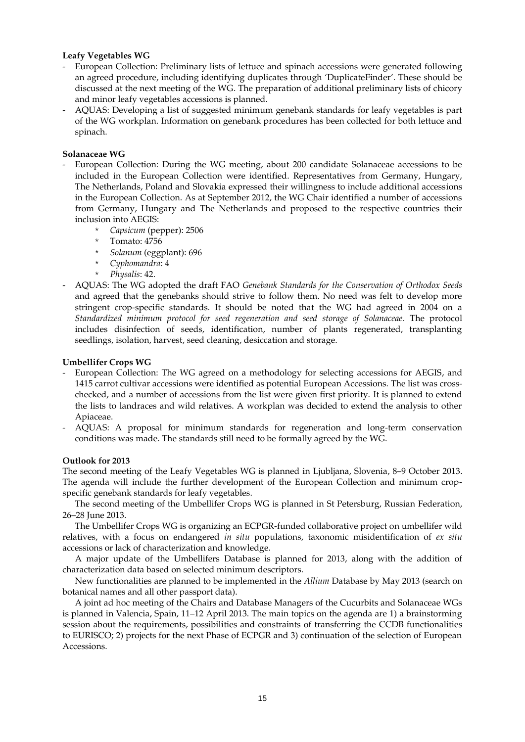### **Leafy Vegetables WG**

- European Collection: Preliminary lists of lettuce and spinach accessions were generated following an agreed procedure, including identifying duplicates through 'DuplicateFinder'. These should be discussed at the next meeting of the WG. The preparation of additional preliminary lists of chicory and minor leafy vegetables accessions is planned.
- AQUAS: Developing a list of suggested minimum genebank standards for leafy vegetables is part of the WG workplan. Information on genebank procedures has been collected for both lettuce and spinach.

### **Solanaceae WG**

- European Collection: During the WG meeting, about 200 candidate Solanaceae accessions to be included in the European Collection were identified. Representatives from Germany, Hungary, The Netherlands, Poland and Slovakia expressed their willingness to include additional accessions in the European Collection. As at September 2012, the WG Chair identified a number of accessions from Germany, Hungary and The Netherlands and proposed to the respective countries their inclusion into AEGIS:
	- \* *Capsicum* (pepper): 2506
	- Tomato: 4756
	- \* *Solanum* (eggplant): 696
	- \* *Cyphomandra*: 4
	- \* *Physalis*: 42.
- AQUAS: The WG adopted the draft FAO *Genebank Standards for the Conservation of Orthodox Seeds* and agreed that the genebanks should strive to follow them. No need was felt to develop more stringent crop-specific standards. It should be noted that the WG had agreed in 2004 on a *Standardized minimum protocol for seed regeneration and seed storage of Solanaceae*. The protocol includes disinfection of seeds, identification, number of plants regenerated, transplanting seedlings, isolation, harvest, seed cleaning, desiccation and storage.

### **Umbellifer Crops WG**

- European Collection: The WG agreed on a methodology for selecting accessions for AEGIS, and 1415 carrot cultivar accessions were identified as potential European Accessions. The list was crosschecked, and a number of accessions from the list were given first priority. It is planned to extend the lists to landraces and wild relatives. A workplan was decided to extend the analysis to other Apiaceae.
- AQUAS: A proposal for minimum standards for regeneration and long-term conservation conditions was made. The standards still need to be formally agreed by the WG.

### **Outlook for 2013**

The second meeting of the Leafy Vegetables WG is planned in Ljubljana, Slovenia, 8–9 October 2013. The agenda will include the further development of the European Collection and minimum cropspecific genebank standards for leafy vegetables.

The second meeting of the Umbellifer Crops WG is planned in St Petersburg, Russian Federation, 26–28 June 2013.

The Umbellifer Crops WG is organizing an ECPGR-funded collaborative project on umbellifer wild relatives, with a focus on endangered *in situ* populations, taxonomic misidentification of *ex situ* accessions or lack of characterization and knowledge.

A major update of the Umbellifers Database is planned for 2013, along with the addition of characterization data based on selected minimum descriptors.

New functionalities are planned to be implemented in the *Allium* Database by May 2013 (search on botanical names and all other passport data).

A joint ad hoc meeting of the Chairs and Database Managers of the Cucurbits and Solanaceae WGs is planned in Valencia, Spain, 11–12 April 2013. The main topics on the agenda are 1) a brainstorming session about the requirements, possibilities and constraints of transferring the CCDB functionalities to EURISCO; 2) projects for the next Phase of ECPGR and 3) continuation of the selection of European Accessions.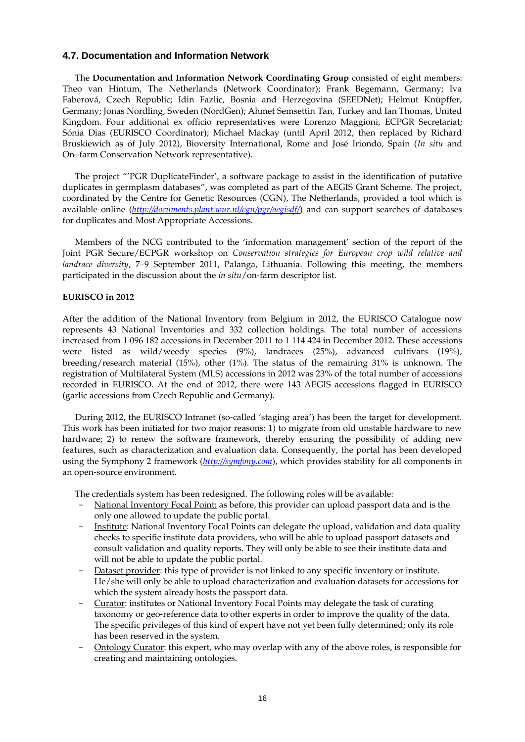### **4.7. Documentation and Information Network**

The **Documentation and Information Network Coordinating Group** consisted of eight members: Theo van Hintum, The Netherlands (Network Coordinator); Frank Begemann, Germany; Iva Faberová, Czech Republic; Idin Fazlic, Bosnia and Herzegovina (SEEDNet); Helmut Knüpffer, Germany; Jonas Nordling, Sweden (NordGen); Ahmet Semsettin Tan, Turkey and Ian Thomas, United Kingdom. Four additional ex officio representatives were Lorenzo Maggioni, ECPGR Secretariat; Sónia Dias (EURISCO Coordinator); Michael Mackay (until April 2012, then replaced by Richard Bruskiewich as of July 2012), Bioversity International, Rome and José Iriondo, Spain (*In situ* and On-farm Conservation Network representative).

The project "'PGR DuplicateFinder', a software package to assist in the identification of putative duplicates in germplasm databases", was completed as part of the AEGIS Grant Scheme. The project, coordinated by the Centre for Genetic Resources (CGN), The Netherlands, provided a tool which is available online (*<http://documents.plant.wur.nl/cgn/pgr/aegisdf/>*) and can support searches of databases for duplicates and Most Appropriate Accessions.

Members of the NCG contributed to the 'information management' section of the report of the Joint PGR Secure/ECPGR workshop on *Conservation strategies for European crop wild relative and landrace diversity*, 7–9 September 2011, Palanga, Lithuania. Following this meeting, the members participated in the discussion about the *in situ*/on-farm descriptor list.

#### **EURISCO in 2012**

After the addition of the National Inventory from Belgium in 2012, the EURISCO Catalogue now represents 43 National Inventories and 332 collection holdings. The total number of accessions increased from 1 096 182 accessions in December 2011 to 1 114 424 in December 2012. These accessions were listed as wild/weedy species (9%), landraces (25%), advanced cultivars (19%), breeding/research material (15%), other (1%). The status of the remaining 31% is unknown. The registration of Multilateral System (MLS) accessions in 2012 was 23% of the total number of accessions recorded in EURISCO. At the end of 2012, there were 143 AEGIS accessions flagged in EURISCO (garlic accessions from Czech Republic and Germany).

During 2012, the EURISCO Intranet (so-called 'staging area') has been the target for development. This work has been initiated for two major reasons: 1) to migrate from old unstable hardware to new hardware; 2) to renew the software framework, thereby ensuring the possibility of adding new features, such as characterization and evaluation data. Consequently, the portal has been developed using the Symphony 2 framework (*[http://symfony.com](http://symfony.com/)*), which provides stability for all components in an open-source environment.

The credentials system has been redesigned. The following roles will be available:

- National Inventory Focal Point: as before, this provider can upload passport data and is the only one allowed to update the public portal.
- Institute: National Inventory Focal Points can delegate the upload, validation and data quality checks to specific institute data providers, who will be able to upload passport datasets and consult validation and quality reports. They will only be able to see their institute data and will not be able to update the public portal.
- Dataset provider: this type of provider is not linked to any specific inventory or institute. He/she will only be able to upload characterization and evaluation datasets for accessions for which the system already hosts the passport data.
- Curator: institutes or National Inventory Focal Points may delegate the task of curating taxonomy or geo-reference data to other experts in order to improve the quality of the data. The specific privileges of this kind of expert have not yet been fully determined; only its role has been reserved in the system.
- Ontology Curator: this expert, who may overlap with any of the above roles, is responsible for creating and maintaining ontologies.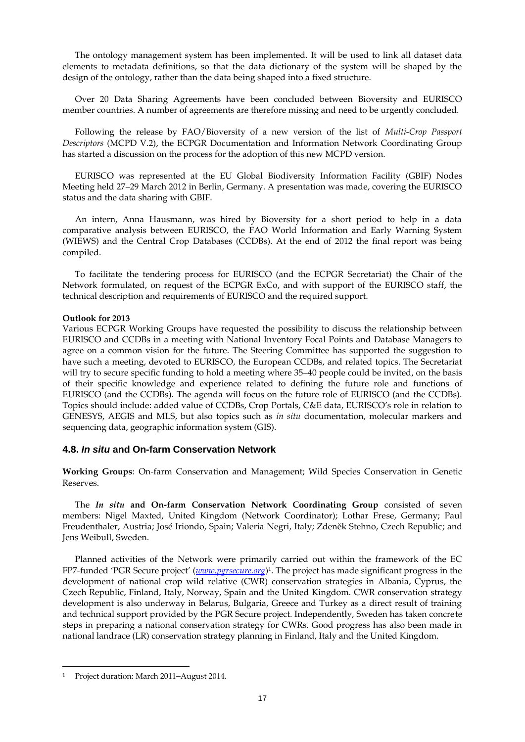The ontology management system has been implemented. It will be used to link all dataset data elements to metadata definitions, so that the data dictionary of the system will be shaped by the design of the ontology, rather than the data being shaped into a fixed structure.

Over 20 Data Sharing Agreements have been concluded between Bioversity and EURISCO member countries. A number of agreements are therefore missing and need to be urgently concluded.

Following the release by FAO/Bioversity of a new version of the list of *Multi-Crop Passport Descriptors* (MCPD V.2), the ECPGR Documentation and Information Network Coordinating Group has started a discussion on the process for the adoption of this new MCPD version.

EURISCO was represented at the EU Global Biodiversity Information Facility (GBIF) Nodes Meeting held 27–29 March 2012 in Berlin, Germany. A presentation was made, covering the EURISCO status and the data sharing with GBIF.

An intern, Anna Hausmann, was hired by Bioversity for a short period to help in a data comparative analysis between EURISCO, the FAO World Information and Early Warning System (WIEWS) and the Central Crop Databases (CCDBs). At the end of 2012 the final report was being compiled.

To facilitate the tendering process for EURISCO (and the ECPGR Secretariat) the Chair of the Network formulated, on request of the ECPGR ExCo, and with support of the EURISCO staff, the technical description and requirements of EURISCO and the required support.

### **Outlook for 2013**

Various ECPGR Working Groups have requested the possibility to discuss the relationship between EURISCO and CCDBs in a meeting with National Inventory Focal Points and Database Managers to agree on a common vision for the future. The Steering Committee has supported the suggestion to have such a meeting, devoted to EURISCO, the European CCDBs, and related topics. The Secretariat will try to secure specific funding to hold a meeting where 35–40 people could be invited, on the basis of their specific knowledge and experience related to defining the future role and functions of EURISCO (and the CCDBs). The agenda will focus on the future role of EURISCO (and the CCDBs). Topics should include: added value of CCDBs, Crop Portals, C&E data, EURISCO's role in relation to GENESYS, AEGIS and MLS, but also topics such as *in situ* documentation, molecular markers and sequencing data, geographic information system (GIS).

### **4.8.** *In situ* **and On-farm Conservation Network**

**Working Groups**: On-farm Conservation and Management; Wild Species Conservation in Genetic Reserves.

The *In situ* **and On-farm Conservation Network Coordinating Group** consisted of seven members: Nigel Maxted, United Kingdom (Network Coordinator); Lothar Frese, Germany; Paul Freudenthaler, Austria; José Iriondo, Spain; Valeria Negri, Italy; Zdeněk Stehno, Czech Republic; and Jens Weibull, Sweden.

Planned activities of the Network were primarily carried out within the framework of the EC FP7-funded 'PGR Secure project' (*[www.pgrsecure.org](http://www.pgrsecure.org/)*) 1 . The project has made significant progress in the development of national crop wild relative (CWR) conservation strategies in Albania, Cyprus, the Czech Republic, Finland, Italy, Norway, Spain and the United Kingdom. CWR conservation strategy development is also underway in Belarus, Bulgaria, Greece and Turkey as a direct result of training and technical support provided by the PGR Secure project. Independently, Sweden has taken concrete steps in preparing a national conservation strategy for CWRs. Good progress has also been made in national landrace (LR) conservation strategy planning in Finland, Italy and the United Kingdom.

 $\overline{a}$ 

<sup>&</sup>lt;sup>1</sup> Project duration: March 2011–August 2014.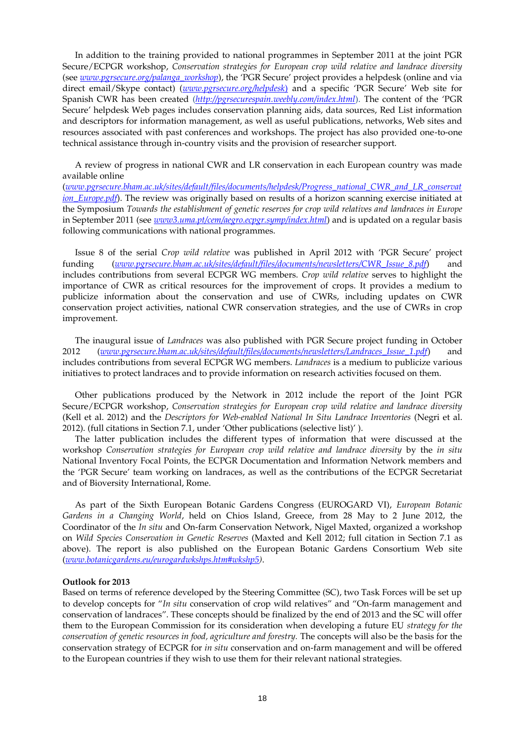In addition to the training provided to national programmes in September 2011 at the joint PGR Secure/ECPGR workshop, *Conservation strategies for European crop wild relative and landrace diversity* (see *[www.pgrsecure.org/palanga\\_workshop](http://www.pgrsecure.org/palanga_workshop)*), the 'PGR Secure' project provides a helpdesk (online and via direct email/Skype contact) (*[www.pgrsecure.org/helpdesk](http://www.pgrsecure.org/helpdesk))*) and a specific 'PGR Secure' Web site for Spanish CWR has been created (*<http://pgrsecurespain.weebly.com/index.html>*). The content of the 'PGR Secure' helpdesk Web pages includes conservation planning aids, data sources, Red List information and descriptors for information management, as well as useful publications, networks, Web sites and resources associated with past conferences and workshops. The project has also provided one-to-one technical assistance through in-country visits and the provision of researcher support.

A review of progress in national CWR and LR conservation in each European country was made available online

(*[www.pgrsecure.bham.ac.uk/sites/default/files/documents/helpdesk/Progress\\_national\\_CWR\\_and\\_LR\\_conservat](http://www.pgrsecure.bham.ac.uk/sites/default/files/documents/helpdesk/Progress_national_CWR_and_LR_conservation_Europe.pdf) [ion\\_Europe.pdf](http://www.pgrsecure.bham.ac.uk/sites/default/files/documents/helpdesk/Progress_national_CWR_and_LR_conservation_Europe.pdf)*). The review was originally based on results of a horizon scanning exercise initiated at the Symposium *Towards the establishment of genetic reserves for crop wild relatives and landraces in Europe* in September 2011 (see *[www3.uma.pt/cem/aegro.ecpgr.symp/index.html](http://www3.uma.pt/cem/aegro.ecpgr.symp/index.html)*) and is updated on a regular basis following communications with national programmes.

Issue 8 of the serial *Crop wild relative* was published in April 2012 with 'PGR Secure' project funding (*[www.pgrsecure.bham.ac.uk/sites/default/files/documents/newsletters/CWR\\_Issue\\_8.pdf](http://www.pgrsecure.bham.ac.uk/sites/default/files/documents/newsletters/CWR_Issue_8.pdf)*) and includes contributions from several ECPGR WG members. *Crop wild relative* serves to highlight the importance of CWR as critical resources for the improvement of crops. It provides a medium to publicize information about the conservation and use of CWRs, including updates on CWR conservation project activities, national CWR conservation strategies, and the use of CWRs in crop improvement.

The inaugural issue of *Landraces* was also published with PGR Secure project funding in October 2012 (*[www.pgrsecure.bham.ac.uk/sites/default/files/documents/newsletters/Landraces\\_Issue\\_1.pdf](http://www.pgrsecure.bham.ac.uk/sites/default/files/documents/newsletters/Landraces_Issue_1.pdf)*) and includes contributions from several ECPGR WG members. *Landraces* is a medium to publicize various initiatives to protect landraces and to provide information on research activities focused on them.

Other publications produced by the Network in 2012 include the report of the Joint PGR Secure/ECPGR workshop, *Conservation strategies for European crop wild relative and landrace diversity* (Kell et al. 2012) and the *Descriptors for Web-enabled National In Situ Landrace Inventories* (Negri et al. 2012). (full citations in Section 7.1, under 'Other publications (selective list)' ).

The latter publication includes the different types of information that were discussed at the workshop *Conservation strategies for European crop wild relative and landrace diversity* by the *in situ* National Inventory Focal Points, the ECPGR Documentation and Information Network members and the 'PGR Secure' team working on landraces, as well as the contributions of the ECPGR Secretariat and of Bioversity International, Rome.

As part of the Sixth European Botanic Gardens Congress (EUROGARD VI), *European Botanic Gardens in a Changing World*, held on Chios Island, Greece, from 28 May to 2 June 2012, the Coordinator of the *In situ* and On-farm Conservation Network, Nigel Maxted, organized a workshop on *Wild Species Conservation in Genetic Reserves* (Maxted and Kell 2012; full citation in Section 7.1 as above). The report is also published on the European Botanic Gardens Consortium Web site (*[www.botanicgardens.eu/eurogardwkshps.htm#wkshp5\)](http://www.botanicgardens.eu/eurogardwkshps.htm%23wkshp5)*.

### **Outlook for 2013**

Based on terms of reference developed by the Steering Committee (SC), two Task Forces will be set up to develop concepts for "*In situ* conservation of crop wild relatives" and "On-farm management and conservation of landraces". These concepts should be finalized by the end of 2013 and the SC will offer them to the European Commission for its consideration when developing a future EU *strategy for the conservation of genetic resources in food, agriculture and forestry.* The concepts will also be the basis for the conservation strategy of ECPGR for *in situ* conservation and on-farm management and will be offered to the European countries if they wish to use them for their relevant national strategies.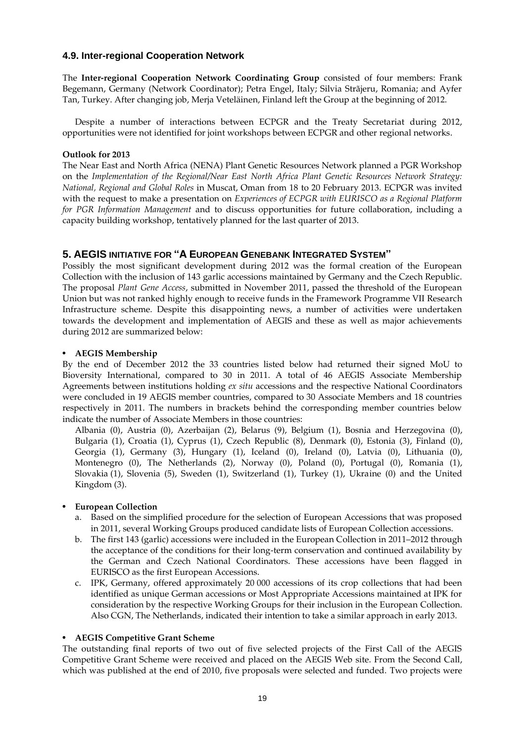# **4.9. Inter-regional Cooperation Network**

The **Inter-regional Cooperation Network Coordinating Group** consisted of four members: Frank Begemann, Germany (Network Coordinator); Petra Engel, Italy; Silvia Strãjeru, Romania; and Ayfer Tan, Turkey. After changing job, Merja Veteläinen, Finland left the Group at the beginning of 2012.

Despite a number of interactions between ECPGR and the Treaty Secretariat during 2012, opportunities were not identified for joint workshops between ECPGR and other regional networks.

### **Outlook for 2013**

The Near East and North Africa (NENA) Plant Genetic Resources Network planned a PGR Workshop on the *Implementation of the Regional/Near East North Africa Plant Genetic Resources Network Strategy: National, Regional and Global Roles* in Muscat, Oman from 18 to 20 February 2013. ECPGR was invited with the request to make a presentation on *Experiences of ECPGR with EURISCO as a Regional Platform for PGR Information Management* and to discuss opportunities for future collaboration, including a capacity building workshop, tentatively planned for the last quarter of 2013.

# **5. AEGIS INITIATIVE FOR "A EUROPEAN GENEBANK INTEGRATED SYSTEM"**

Possibly the most significant development during 2012 was the formal creation of the European Collection with the inclusion of 143 garlic accessions maintained by Germany and the Czech Republic. The proposal *Plant Gene Access*, submitted in November 2011, passed the threshold of the European Union but was not ranked highly enough to receive funds in the Framework Programme VII Research Infrastructure scheme. Despite this disappointing news, a number of activities were undertaken towards the development and implementation of AEGIS and these as well as major achievements during 2012 are summarized below:

# • **AEGIS Membership**

By the end of December 2012 the 33 countries listed below had returned their signed MoU to Bioversity International, compared to 30 in 2011. A total of 46 AEGIS Associate Membership Agreements between institutions holding *ex situ* accessions and the respective National Coordinators were concluded in 19 AEGIS member countries, compared to 30 Associate Members and 18 countries respectively in 2011. The numbers in brackets behind the corresponding member countries below indicate the number of Associate Members in those countries:

Albania (0), Austria (0), Azerbaijan (2), Belarus (9), Belgium (1), Bosnia and Herzegovina (0), Bulgaria (1), Croatia (1), Cyprus (1), Czech Republic (8), Denmark (0), Estonia (3), Finland (0), Georgia (1), Germany (3), Hungary (1), Iceland (0), Ireland (0), Latvia (0), Lithuania (0), Montenegro (0), The Netherlands (2), Norway (0), Poland (0), Portugal (0), Romania (1), Slovakia (1), Slovenia (5), Sweden (1), Switzerland (1), Turkey (1), Ukraine (0) and the United Kingdom (3).

# • **European Collection**

- a. Based on the simplified procedure for the selection of European Accessions that was proposed in 2011, several Working Groups produced candidate lists of European Collection accessions.
- b. The first 143 (garlic) accessions were included in the European Collection in 2011–2012 through the acceptance of the conditions for their long-term conservation and continued availability by the German and Czech National Coordinators. These accessions have been flagged in EURISCO as the first European Accessions.
- c. IPK, Germany, offered approximately 20 000 accessions of its crop collections that had been identified as unique German accessions or Most Appropriate Accessions maintained at IPK for consideration by the respective Working Groups for their inclusion in the European Collection. Also CGN, The Netherlands, indicated their intention to take a similar approach in early 2013.

# • **AEGIS Competitive Grant Scheme**

The outstanding final reports of two out of five selected projects of the First Call of the AEGIS Competitive Grant Scheme were received and placed on the AEGIS Web site. From the Second Call, which was published at the end of 2010, five proposals were selected and funded. Two projects were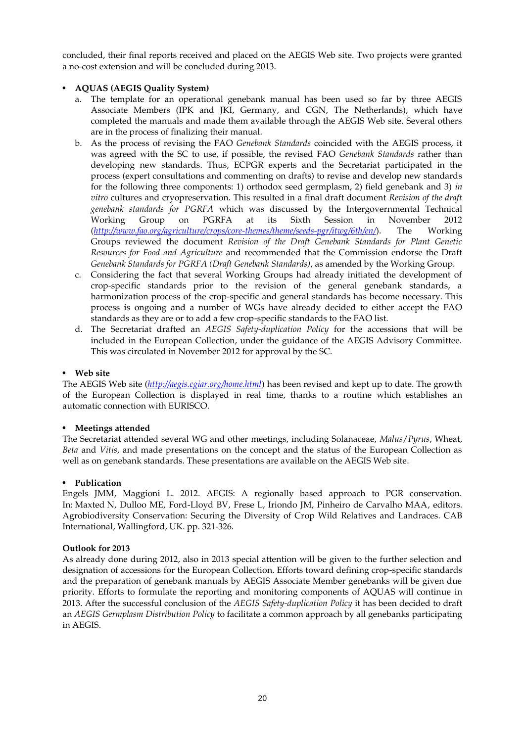concluded, their final reports received and placed on the AEGIS Web site. Two projects were granted a no-cost extension and will be concluded during 2013.

# • **AQUAS (AEGIS Quality System)**

- a. The template for an operational genebank manual has been used so far by three AEGIS Associate Members (IPK and JKI, Germany, and CGN, The Netherlands), which have completed the manuals and made them available through the AEGIS Web site. Several others are in the process of finalizing their manual.
- b. As the process of revising the FAO *Genebank Standards* coincided with the AEGIS process, it was agreed with the SC to use, if possible, the revised FAO *Genebank Standards* rather than developing new standards. Thus, ECPGR experts and the Secretariat participated in the process (expert consultations and commenting on drafts) to revise and develop new standards for the following three components: 1) orthodox seed germplasm, 2) field genebank and 3) *in vitro* cultures and cryopreservation. This resulted in a final draft document *Revision of the draft genebank standards for PGRFA* which was discussed by the Intergovernmental Technical Working Group on PGRFA at its Sixth Session in November 2012 (*<http://www.fao.org/agriculture/crops/core-themes/theme/seeds-pgr/itwg/6th/en/>*). The Working Groups reviewed the document *Revision of the Draft Genebank Standards for Plant Genetic Resources for Food and Agriculture* and recommended that the Commission endorse the Draft *Genebank Standards for PGRFA (Draft Genebank Standards)*, as amended by the Working Group.
- c. Considering the fact that several Working Groups had already initiated the development of crop-specific standards prior to the revision of the general genebank standards, a harmonization process of the crop-specific and general standards has become necessary. This process is ongoing and a number of WGs have already decided to either accept the FAO standards as they are or to add a few crop-specific standards to the FAO list.
- d. The Secretariat drafted an *AEGIS Safety-duplication Policy* for the accessions that will be included in the European Collection, under the guidance of the AEGIS Advisory Committee. This was circulated in November 2012 for approval by the SC.

# • **Web site**

The AEGIS Web site (*<http://aegis.cgiar.org/home.html>*) has been revised and kept up to date. The growth of the European Collection is displayed in real time, thanks to a routine which establishes an automatic connection with EURISCO.

### • **Meetings attended**

The Secretariat attended several WG and other meetings, including Solanaceae, *Malus*/*Pyrus*, Wheat, *Beta* and *Vitis*, and made presentations on the concept and the status of the European Collection as well as on genebank standards. These presentations are available on the AEGIS Web site.

### • **Publication**

Engels JMM, Maggioni L. 2012. AEGIS: A regionally based approach to PGR conservation. In: Maxted N, Dulloo ME, Ford-Lloyd BV, Frese L, Iriondo JM, Pinheiro de Carvalho MAA, editors. Agrobiodiversity Conservation: Securing the Diversity of Crop Wild Relatives and Landraces. CAB International, Wallingford, UK. pp. 321-326.

### **Outlook for 2013**

As already done during 2012, also in 2013 special attention will be given to the further selection and designation of accessions for the European Collection. Efforts toward defining crop-specific standards and the preparation of genebank manuals by AEGIS Associate Member genebanks will be given due priority. Efforts to formulate the reporting and monitoring components of AQUAS will continue in 2013. After the successful conclusion of the *AEGIS Safety-duplication Policy* it has been decided to draft an *AEGIS Germplasm Distribution Policy* to facilitate a common approach by all genebanks participating in AEGIS.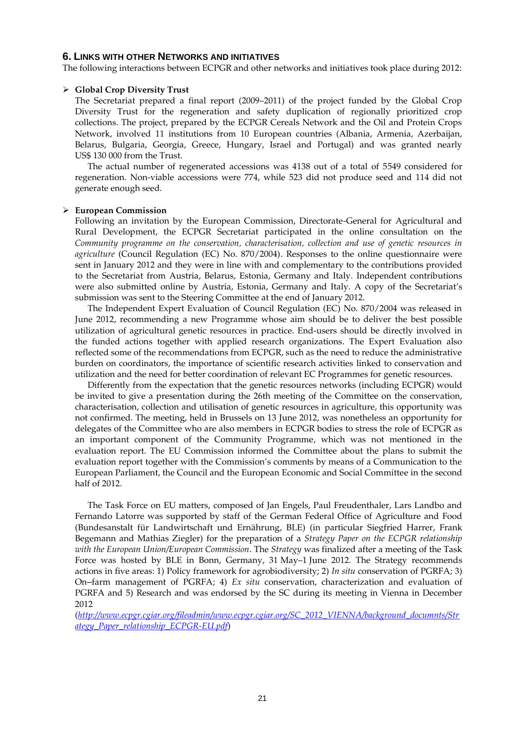### **6. LINKS WITH OTHER NETWORKS AND INITIATIVES**

The following interactions between ECPGR and other networks and initiatives took place during 2012:

### **Global Crop Diversity Trust**

The Secretariat prepared a final report (2009–2011) of the project funded by the Global Crop Diversity Trust for the regeneration and safety duplication of regionally prioritized crop collections. The project, prepared by the ECPGR Cereals Network and the Oil and Protein Crops Network, involved 11 institutions from 10 European countries (Albania, Armenia, Azerbaijan, Belarus, Bulgaria, Georgia, Greece, Hungary, Israel and Portugal) and was granted nearly US\$ 130 000 from the Trust.

The actual number of regenerated accessions was 4138 out of a total of 5549 considered for regeneration. Non-viable accessions were 774, while 523 did not produce seed and 114 did not generate enough seed.

#### **European Commission**

Following an invitation by the European Commission, Directorate-General for Agricultural and Rural Development, the ECPGR Secretariat participated in the online consultation on the *Community programme on the conservation, characterisation, collection and use of genetic resources in agriculture* (Council Regulation (EC) No. 870/2004). Responses to the online questionnaire were sent in January 2012 and they were in line with and complementary to the contributions provided to the Secretariat from Austria, Belarus, Estonia, Germany and Italy. Independent contributions were also submitted online by Austria, Estonia, Germany and Italy. A copy of the Secretariat's submission was sent to the Steering Committee at the end of January 2012.

The Independent Expert Evaluation of Council Regulation (EC) No. 870/2004 was released in June 2012, recommending a new Programme whose aim should be to deliver the best possible utilization of agricultural genetic resources in practice. End-users should be directly involved in the funded actions together with applied research organizations. The Expert Evaluation also reflected some of the recommendations from ECPGR, such as the need to reduce the administrative burden on coordinators, the importance of scientific research activities linked to conservation and utilization and the need for better coordination of relevant EC Programmes for genetic resources.

Differently from the expectation that the genetic resources networks (including ECPGR) would be invited to give a presentation during the 26th meeting of the Committee on the conservation, characterisation, collection and utilisation of genetic resources in agriculture, this opportunity was not confirmed. The meeting, held in Brussels on 13 June 2012, was nonetheless an opportunity for delegates of the Committee who are also members in ECPGR bodies to stress the role of ECPGR as an important component of the Community Programme, which was not mentioned in the evaluation report. The EU Commission informed the Committee about the plans to submit the evaluation report together with the Commission's comments by means of a Communication to the European Parliament, the Council and the European Economic and Social Committee in the second half of 2012.

The Task Force on EU matters, composed of Jan Engels, Paul Freudenthaler, Lars Landbo and Fernando Latorre was supported by staff of the German Federal Office of Agriculture and Food (Bundesanstalt für Landwirtschaft und Ernährung, BLE) (in particular Siegfried Harrer, Frank Begemann and Mathias Ziegler) for the preparation of a *Strategy Paper on the ECPGR relationship with the European Union/European Commission*. The *Strategy* was finalized after a meeting of the Task Force was hosted by BLE in Bonn, Germany, 31 May–1 June 2012. The Strategy recommends actions in five areas: 1) Policy framework for agrobiodiversity; 2) *In situ* conservation of PGRFA; 3) On-farm management of PGRFA; 4) *Ex situ* conservation, characterization and evaluation of PGRFA and 5) Research and was endorsed by the SC during its meeting in Vienna in December 2012

(*[http://www.ecpgr.cgiar.org/fileadmin/www.ecpgr.cgiar.org/SC\\_2012\\_VIENNA/background\\_documnts/Str](http://www.ecpgr.cgiar.org/fileadmin/www.ecpgr.cgiar.org/SC_2012_VIENNA/background_documnts/Strategy_Paper_relationship_ECPGR-EU.pdf) [ategy\\_Paper\\_relationship\\_ECPGR-EU.pdf](http://www.ecpgr.cgiar.org/fileadmin/www.ecpgr.cgiar.org/SC_2012_VIENNA/background_documnts/Strategy_Paper_relationship_ECPGR-EU.pdf)*)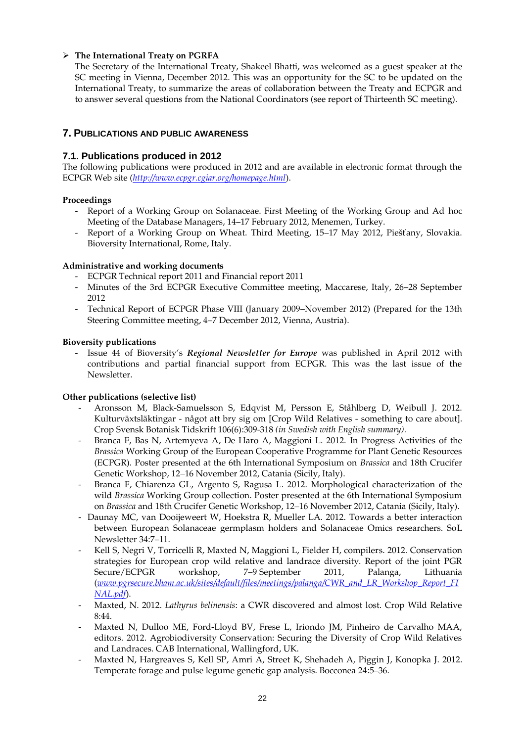# **The International Treaty on PGRFA**

The Secretary of the International Treaty, Shakeel Bhatti, was welcomed as a guest speaker at the SC meeting in Vienna, December 2012. This was an opportunity for the SC to be updated on the International Treaty, to summarize the areas of collaboration between the Treaty and ECPGR and to answer several questions from the National Coordinators (see report of Thirteenth SC meeting).

# **7. PUBLICATIONS AND PUBLIC AWARENESS**

# **7.1. Publications produced in 2012**

The following publications were produced in 2012 and are available in electronic format through the ECPGR Web site (*<http://www.ecpgr.cgiar.org/homepage.html>*).

# **Proceedings**

- Report of a Working Group on Solanaceae. First Meeting of the Working Group and Ad hoc Meeting of the Database Managers, 14–17 February 2012, Menemen, Turkey.
- Report of a Working Group on Wheat. Third Meeting, 15–17 May 2012, Piešťany, Slovakia. Bioversity International, Rome, Italy.

# **Administrative and working documents**

- ECPGR Technical report 2011 and Financial report 2011
- Minutes of the 3rd ECPGR Executive Committee meeting, Maccarese, Italy, 26–28 September 2012
- Technical Report of ECPGR Phase VIII (January 2009–November 2012) (Prepared for the 13th Steering Committee meeting, 4–7 December 2012, Vienna, Austria).

# **Bioversity publications**

- Issue 44 of Bioversity's *Regional Newsletter for Europe* was published in April 2012 with contributions and partial financial support from ECPGR. This was the last issue of the Newsletter.

# **Other publications (selective list)**

- Aronsson M, Black-Samuelsson S, Edqvist M, Persson E, Ståhlberg D, Weibull J. 2012. Kulturväxtsläktingar - något att bry sig om [Crop Wild Relatives - something to care about]. Crop Svensk Botanisk Tidskrift 106(6):309-318 *(in Swedish with English summary).*
- Branca F, Bas N, Artemyeva A, De Haro A, Maggioni L. 2012. In Progress Activities of the *Brassica* Working Group of the European Cooperative Programme for Plant Genetic Resources (ECPGR). Poster presented at the 6th International Symposium on *Brassica* and 18th Crucifer Genetic Workshop, 12–16 November 2012, Catania (Sicily, Italy).
- Branca F, Chiarenza GL, Argento S, Ragusa L. 2012. Morphological characterization of the wild *Brassica* Working Group collection. Poster presented at the 6th International Symposium on *Brassica* and 18th Crucifer Genetic Workshop, 12–16 November 2012, Catania (Sicily, Italy).
- Daunay MC, van Dooijeweert W, Hoekstra R, Mueller LA. 2012. Towards a better interaction between European Solanaceae germplasm holders and Solanaceae Omics researchers. SoL Newsletter 34:7–11.
- Kell S, Negri V, Torricelli R, Maxted N, Maggioni L, Fielder H, compilers. 2012. Conservation strategies for European crop wild relative and landrace diversity. Report of the joint PGR Secure/ECPGR workshop, 7–9 September 2011, Palanga, Lithuania (*[www.pgrsecure.bham.ac.uk/sites/default/files/meetings/palanga/CWR\\_and\\_LR\\_Workshop\\_Report\\_FI](http://www.pgrsecure.bham.ac.uk/sites/default/files/meetings/palanga/CWR_and_LR_Workshop_Report_FINAL.pdf) [NAL.pdf](http://www.pgrsecure.bham.ac.uk/sites/default/files/meetings/palanga/CWR_and_LR_Workshop_Report_FINAL.pdf)*).
- Maxted, N. 2012. *Lathyrus belinensis*: a CWR discovered and almost lost. Crop Wild Relative 8:44.
- Maxted N, Dulloo ME, Ford-Lloyd BV, Frese L, Iriondo JM, Pinheiro de Carvalho MAA, editors. 2012. Agrobiodiversity Conservation: Securing the Diversity of Crop Wild Relatives and Landraces. CAB International, Wallingford, UK.
- Maxted N, Hargreaves S, Kell SP, Amri A, Street K, Shehadeh A, Piggin J, Konopka J. 2012. Temperate forage and pulse legume genetic gap analysis. Bocconea 24:5–36.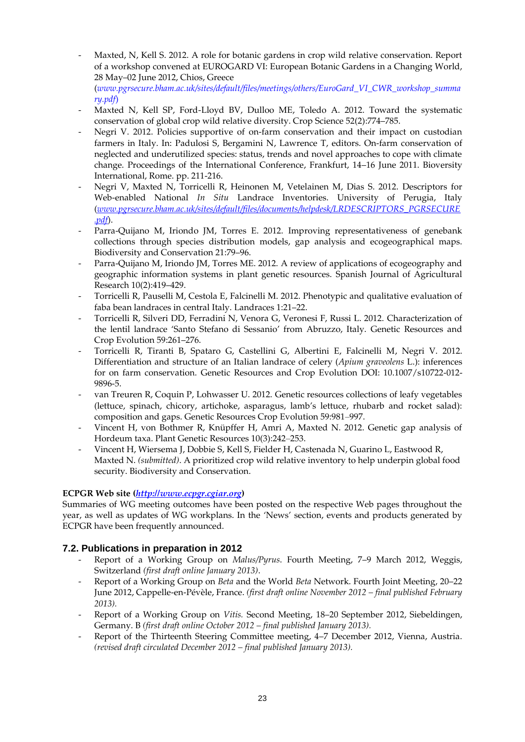- Maxted, N, Kell S. 2012. A role for botanic gardens in crop wild relative conservation. Report of a workshop convened at EUROGARD VI: European Botanic Gardens in a Changing World, 28 May–02 June 2012, Chios, Greece (*www.pgrsecure.bham.ac.uk/sites/default/files/meetings/others/EuroGard\_VI\_CWR\_workshop\_summa ry.pdf*)
- Maxted N, Kell SP, Ford-Lloyd BV, Dulloo ME, Toledo A. 2012. Toward the systematic conservation of global crop wild relative diversity. Crop Science 52(2):774–785.
- Negri V. 2012. Policies supportive of on-farm conservation and their impact on custodian farmers in Italy. In: Padulosi S, Bergamini N, Lawrence T, editors. On-farm conservation of neglected and underutilized species: status, trends and novel approaches to cope with climate change. Proceedings of the International Conference, Frankfurt, 14–16 June 2011. Bioversity International, Rome. pp. 211-216.
- Negri V, Maxted N, Torricelli R, Heinonen M, Vetelainen M, Dias S. 2012. Descriptors for Web-enabled National *In Situ* Landrace Inventories. University of Perugia, Italy (*[www.pgrsecure.bham.ac.uk/sites/default/files/documents/helpdesk/LRDESCRIPTORS\\_PGRSECURE](http://www.pgrsecure.bham.ac.uk/sites/default/files/documents/helpdesk/LRDESCRIPTORS_PGRSECURE.pdf) [.pdf](http://www.pgrsecure.bham.ac.uk/sites/default/files/documents/helpdesk/LRDESCRIPTORS_PGRSECURE.pdf)*).
- Parra-Quijano M, Iriondo JM, Torres E. 2012. Improving representativeness of genebank collections through species distribution models, gap analysis and ecogeographical maps. Biodiversity and Conservation 21:79–96.
- Parra-Quijano M, Iriondo JM, Torres ME. 2012. A review of applications of ecogeography and geographic information systems in plant genetic resources. Spanish Journal of Agricultural Research 10(2):419–429.
- Torricelli R, Pauselli M, Cestola E, Falcinelli M. 2012. Phenotypic and qualitative evaluation of faba bean landraces in central Italy. Landraces 1:21–22.
- Torricelli R, Silveri DD, Ferradini N, Venora G, Veronesi F, Russi L. 2012. Characterization of the lentil landrace 'Santo Stefano di Sessanio' from Abruzzo, Italy. Genetic Resources and Crop Evolution 59:261–276.
- Torricelli R, Tiranti B, Spataro G, Castellini G, Albertini E, Falcinelli M, Negri V. 2012. Differentiation and structure of an Italian landrace of celery (*Apium graveolens* L.): inferences for on farm conservation. Genetic Resources and Crop Evolution DOI: 10.1007/s10722-012- 9896-5.
- van Treuren R, Coquin P, Lohwasser U. 2012. Genetic resources collections of leafy vegetables (lettuce, spinach, chicory, artichoke, asparagus, lamb's lettuce, rhubarb and rocket salad): composition and gaps. Genetic Resources Crop Evolution 59:981–997.
- Vincent H, von Bothmer R, Knüpffer H, Amri A, Maxted N. 2012. Genetic gap analysis of Hordeum taxa. Plant Genetic Resources 10(3):242–253.
- Vincent H, Wiersema J, Dobbie S, Kell S, Fielder H, Castenada N, Guarino L, Eastwood R, Maxted N. *(submitted)*. A prioritized crop wild relative inventory to help underpin global food security. Biodiversity and Conservation.

# **ECPGR Web site (***[http://www.ecpgr.cgiar.org](http://www.ecpgr.cgiar.org/)***)**

Summaries of WG meeting outcomes have been posted on the respective Web pages throughout the year, as well as updates of WG workplans. In the 'News' section, events and products generated by ECPGR have been frequently announced.

# **7.2. Publications in preparation in 2012**

- Report of a Working Group on *Malus/Pyrus*. Fourth Meeting, 7–9 March 2012, Weggis, Switzerland *(first draft online January 2013)*.
- Report of a Working Group on *Beta* and the World *Beta* Network. Fourth Joint Meeting, 20–22 June 2012, Cappelle-en-Pévèle, France. *(first draft online November 2012 – final published February 2013).*
- Report of a Working Group on *Vitis.* Second Meeting, 18–20 September 2012, Siebeldingen, Germany. B *(first draft online October 2012 – final published January 2013).*
- Report of the Thirteenth Steering Committee meeting, 4–7 December 2012, Vienna, Austria. *(revised draft circulated December 2012 – final published January 2013).*